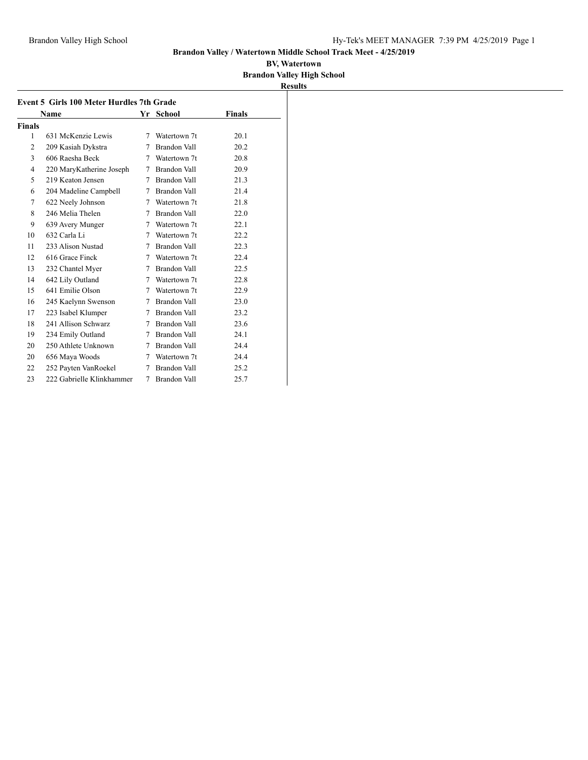### **Brandon Valley / Watertown Middle School Track Meet - 4/25/2019**

|                                           |           |                     |               | <b>Results</b> |  |  |  |  |  |  |
|-------------------------------------------|-----------|---------------------|---------------|----------------|--|--|--|--|--|--|
| Event 5 Girls 100 Meter Hurdles 7th Grade |           |                     |               |                |  |  |  |  |  |  |
| Name                                      | Yr School |                     | <b>Finals</b> |                |  |  |  |  |  |  |
|                                           |           |                     |               |                |  |  |  |  |  |  |
| 631 McKenzie Lewis                        | 7         | Watertown 7t        | 20.1          |                |  |  |  |  |  |  |
| 209 Kasiah Dykstra                        | 7         | Brandon Vall        | 20.2          |                |  |  |  |  |  |  |
| 606 Raesha Beck                           | 7         | Watertown 7t        | 20.8          |                |  |  |  |  |  |  |
| 220 MaryKatherine Joseph                  | 7         | Brandon Vall        | 20.9          |                |  |  |  |  |  |  |
| 219 Keaton Jensen                         | 7         | Brandon Vall        | 21.3          |                |  |  |  |  |  |  |
| 204 Madeline Campbell                     | 7         | Brandon Vall        | 21.4          |                |  |  |  |  |  |  |
| 622 Neely Johnson                         | 7         | Watertown 7t        | 21.8          |                |  |  |  |  |  |  |
| 246 Melia Thelen                          | 7         | Brandon Vall        | 22.0          |                |  |  |  |  |  |  |
| 639 Avery Munger                          | 7         | Watertown 7t        | 22.1          |                |  |  |  |  |  |  |
| 632 Carla Li                              | 7         | Watertown 7t        | 22.2          |                |  |  |  |  |  |  |
| 233 Alison Nustad                         | 7         | Brandon Vall        | 22.3          |                |  |  |  |  |  |  |
| 616 Grace Finck                           | 7         | Watertown 7t        | 22.4          |                |  |  |  |  |  |  |
| 232 Chantel Myer                          | 7         | Brandon Vall        | 22.5          |                |  |  |  |  |  |  |
| 642 Lily Outland                          |           | Watertown 7t        | 22.8          |                |  |  |  |  |  |  |
| 641 Emilie Olson                          | 7         | Watertown 7t        | 22.9          |                |  |  |  |  |  |  |
| 245 Kaelynn Swenson                       | 7         | Brandon Vall        | 23.0          |                |  |  |  |  |  |  |
| 223 Isabel Klumper                        | 7         | Brandon Vall        | 23.2          |                |  |  |  |  |  |  |
| 241 Allison Schwarz                       | 7         | Brandon Vall        | 23.6          |                |  |  |  |  |  |  |
| 234 Emily Outland                         | 7         | Brandon Vall        | 24.1          |                |  |  |  |  |  |  |
| 250 Athlete Unknown                       | 7         | Brandon Vall        | 24.4          |                |  |  |  |  |  |  |
| 656 Maya Woods                            | 7         | Watertown 7t        | 24.4          |                |  |  |  |  |  |  |
| 252 Payten VanRoekel                      | 7         | Brandon Vall        | 25.2          |                |  |  |  |  |  |  |
| 222 Gabrielle Klinkhammer                 | 7         | <b>Brandon Vall</b> | 25.7          |                |  |  |  |  |  |  |
|                                           |           |                     | 7             |                |  |  |  |  |  |  |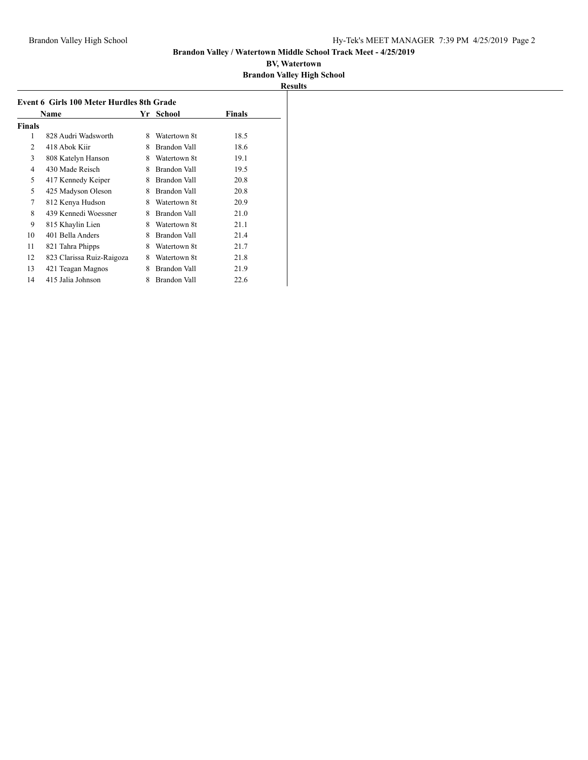|        | Event 6 Girls 100 Meter Hurdles 8th Grade |   | School       | Finals<br>Name<br>Yr |  |  |  |  |  |  |  |
|--------|-------------------------------------------|---|--------------|----------------------|--|--|--|--|--|--|--|
| Finals |                                           |   |              |                      |  |  |  |  |  |  |  |
| 1      | 828 Audri Wadsworth                       | 8 | Watertown 8t | 18.5                 |  |  |  |  |  |  |  |
| 2      | 418 Abok Kiir                             | 8 | Brandon Vall | 18.6                 |  |  |  |  |  |  |  |
| 3      | 808 Katelyn Hanson                        | 8 | Watertown 8t | 19.1                 |  |  |  |  |  |  |  |
| 4      | 430 Made Reisch                           | 8 | Brandon Vall | 19.5                 |  |  |  |  |  |  |  |
| 5      | 417 Kennedy Keiper                        | 8 | Brandon Vall | 20.8                 |  |  |  |  |  |  |  |
| 5      | 425 Madyson Oleson                        | 8 | Brandon Vall | 20.8                 |  |  |  |  |  |  |  |
| 7      | 812 Kenya Hudson                          | 8 | Watertown 8t | 20.9                 |  |  |  |  |  |  |  |
| 8      | 439 Kennedi Woessner                      | 8 | Brandon Vall | 21.0                 |  |  |  |  |  |  |  |
| 9      | 815 Khaylin Lien                          | 8 | Watertown 8t | 21.1                 |  |  |  |  |  |  |  |
| 10     | 401 Bella Anders                          | 8 | Brandon Vall | 21.4                 |  |  |  |  |  |  |  |
| 11     | 821 Tahra Phipps                          | 8 | Watertown 8t | 21.7                 |  |  |  |  |  |  |  |
| 12     | 823 Clarissa Ruiz-Raigoza                 | 8 | Watertown 8t | 21.8                 |  |  |  |  |  |  |  |
| 13     | 421 Teagan Magnos                         | 8 | Brandon Vall | 21.9                 |  |  |  |  |  |  |  |
| 14     | 415 Jalia Johnson                         | 8 | Brandon Vall | 22.6                 |  |  |  |  |  |  |  |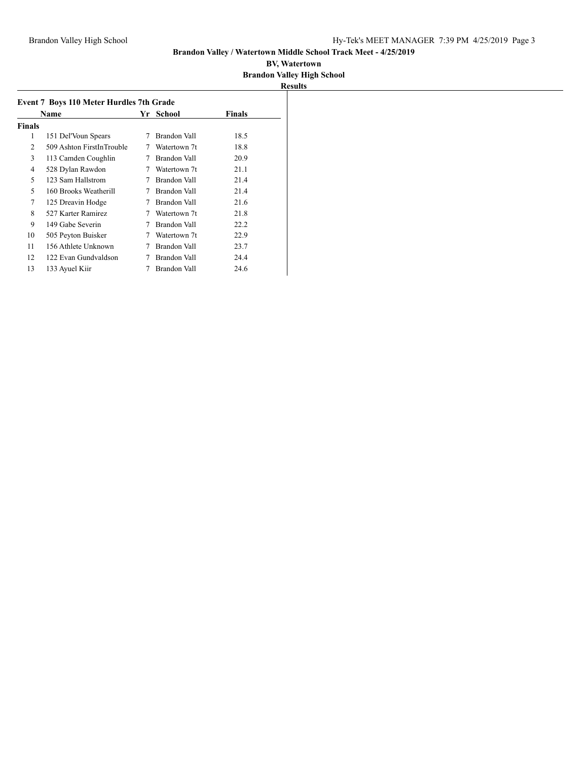| <b>Event 7 Boys 110 Meter Hurdles 7th Grade</b> |                           |   |              |               |  |  |  |
|-------------------------------------------------|---------------------------|---|--------------|---------------|--|--|--|
|                                                 | Name                      |   | Yr School    | <b>Finals</b> |  |  |  |
| <b>Finals</b>                                   |                           |   |              |               |  |  |  |
| 1                                               | 151 Del'Voun Spears       | 7 | Brandon Vall | 18.5          |  |  |  |
| 2                                               | 509 Ashton FirstInTrouble | 7 | Watertown 7t | 18.8          |  |  |  |
| 3                                               | 113 Camden Coughlin       | 7 | Brandon Vall | 20.9          |  |  |  |
| 4                                               | 528 Dylan Rawdon          | 7 | Watertown 7t | 21.1          |  |  |  |
| 5                                               | 123 Sam Hallstrom         | 7 | Brandon Vall | 21.4          |  |  |  |
| 5                                               | 160 Brooks Weatherill     | 7 | Brandon Vall | 21.4          |  |  |  |
| 7                                               | 125 Dreavin Hodge         | 7 | Brandon Vall | 21.6          |  |  |  |
| 8                                               | 527 Karter Ramirez        | 7 | Watertown 7t | 21.8          |  |  |  |
| 9                                               | 149 Gabe Severin          | 7 | Brandon Vall | 22.2          |  |  |  |
| 10                                              | 505 Peyton Buisker        | 7 | Watertown 7t | 22.9          |  |  |  |
| 11                                              | 156 Athlete Unknown       |   | Brandon Vall | 23.7          |  |  |  |
| 12                                              | 122 Evan Gundvaldson      |   | Brandon Vall | 24.4          |  |  |  |
| 13                                              | 133 Ayuel Kiir            |   | Brandon Vall | 24.6          |  |  |  |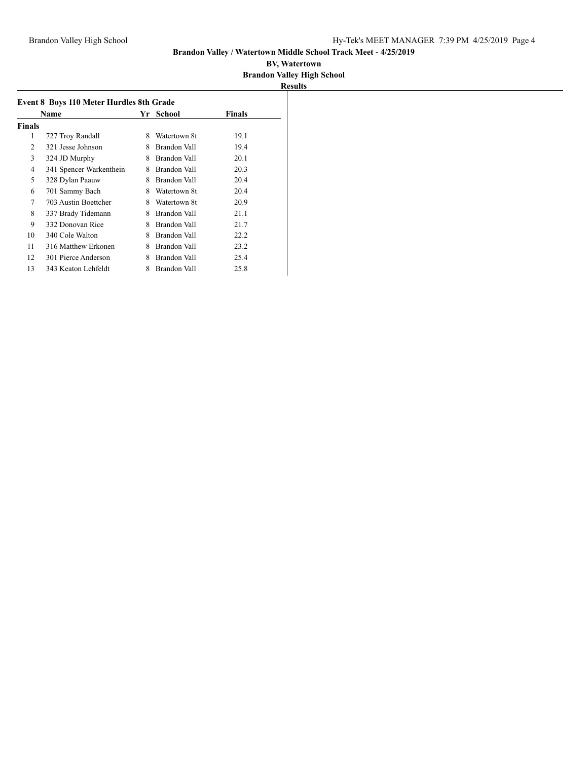|        | Name                    |   | Yr School    | Finals |
|--------|-------------------------|---|--------------|--------|
| Finals |                         |   |              |        |
| 1      | 727 Troy Randall        | 8 | Watertown 8t | 19.1   |
| 2      | 321 Jesse Johnson       | 8 | Brandon Vall | 19.4   |
| 3      | 324 JD Murphy           | 8 | Brandon Vall | 20.1   |
| 4      | 341 Spencer Warkenthein | 8 | Brandon Vall | 20.3   |
| 5      | 328 Dylan Paauw         | 8 | Brandon Vall | 20.4   |
| 6      | 701 Sammy Bach          | 8 | Watertown 8t | 20.4   |
| 7      | 703 Austin Boettcher    | 8 | Watertown 8t | 20.9   |
| 8      | 337 Brady Tidemann      | 8 | Brandon Vall | 21.1   |
| 9      | 332 Donovan Rice        | 8 | Brandon Vall | 21.7   |
| 10     | 340 Cole Walton         | 8 | Brandon Vall | 22.2   |
| 11     | 316 Matthew Erkonen     | 8 | Brandon Vall | 23.2   |
| 12     | 301 Pierce Anderson     | 8 | Brandon Vall | 25.4   |
| 13     | 343 Keaton Lehfeldt     | 8 | Brandon Vall | 25.8   |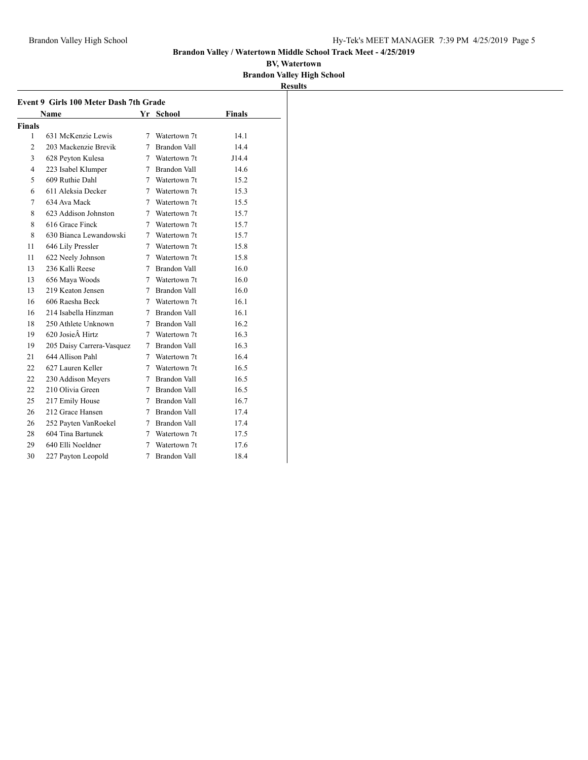### **Brandon Valley / Watertown Middle School Track Meet - 4/25/2019**

|                |                                        |             |                |               | <b>Results</b> |
|----------------|----------------------------------------|-------------|----------------|---------------|----------------|
|                | Event 9 Girls 100 Meter Dash 7th Grade |             |                |               |                |
|                | Name                                   |             | Yr School      | <b>Finals</b> |                |
| <b>Finals</b>  |                                        |             |                |               |                |
| 1              | 631 McKenzie Lewis                     |             | 7 Watertown 7t | 14.1          |                |
| $\overline{c}$ | 203 Mackenzie Brevik                   | 7           | Brandon Vall   | 14.4          |                |
| 3              | 628 Peyton Kulesa                      | 7           | Watertown 7t   | J14.4         |                |
| 4              | 223 Isabel Klumper                     |             | 7 Brandon Vall | 14.6          |                |
| 5              | 609 Ruthie Dahl                        |             | 7 Watertown 7t | 15.2          |                |
| 6              | 611 Aleksia Decker                     |             | 7 Watertown 7t | 15.3          |                |
| 7              | 634 Ava Mack                           | 7           | Watertown 7t   | 15.5          |                |
| 8              | 623 Addison Johnston                   | 7           | Watertown 7t   | 15.7          |                |
| 8              | 616 Grace Finck                        | $\tau$      | Watertown 7t   | 15.7          |                |
| 8              | 630 Bianca Lewandowski                 | 7           | Watertown 7t   | 15.7          |                |
| 11             | 646 Lily Pressler                      |             | 7 Watertown 7t | 15.8          |                |
| 11             | 622 Neely Johnson                      |             | 7 Watertown 7t | 15.8          |                |
| 13             | 236 Kalli Reese                        | $7^{\circ}$ | Brandon Vall   | 16.0          |                |
| 13             | 656 Maya Woods                         | $7^{\circ}$ | Watertown 7t   | 16.0          |                |
| 13             | 219 Keaton Jensen                      |             | 7 Brandon Vall | 16.0          |                |
| 16             | 606 Raesha Beck                        |             | 7 Watertown 7t | 16.1          |                |
| 16             | 214 Isabella Hinzman                   |             | 7 Brandon Vall | 16.1          |                |
| 18             | 250 Athlete Unknown                    |             | 7 Brandon Vall | 16.2          |                |
| 19             | 620 Josie Hirtz                        |             | 7 Watertown 7t | 16.3          |                |
| 19             | 205 Daisy Carrera-Vasquez              | 7           | Brandon Vall   | 16.3          |                |
| 21             | 644 Allison Pahl                       | 7           | Watertown 7t   | 16.4          |                |
| 22             | 627 Lauren Keller                      | 7           | Watertown 7t   | 16.5          |                |
| 22             | 230 Addison Meyers                     |             | 7 Brandon Vall | 16.5          |                |
| 22             | 210 Olivia Green                       |             | 7 Brandon Vall | 16.5          |                |
| 25             | 217 Emily House                        |             | 7 Brandon Vall | 16.7          |                |
| 26             | 212 Grace Hansen                       | $\tau$      | Brandon Vall   | 17.4          |                |
| 26             | 252 Payten VanRoekel                   | 7           | Brandon Vall   | 17.4          |                |
| 28             | 604 Tina Bartunek                      |             | 7 Watertown 7t | 17.5          |                |
| 29             | 640 Elli Noeldner                      | 7           | Watertown 7t   | 17.6          |                |
| 30             | 227 Payton Leopold                     | 7           | Brandon Vall   | 18.4          |                |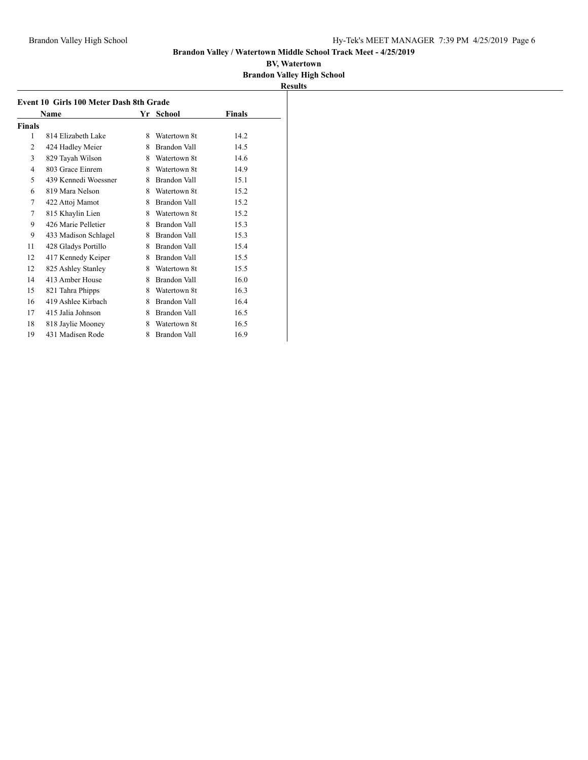| Event 10 Girls 100 Meter Dash 8th Grade |                      |   |                     |        |  |  |  |
|-----------------------------------------|----------------------|---|---------------------|--------|--|--|--|
|                                         | Name                 |   | Yr School           | Finals |  |  |  |
| Finals                                  |                      |   |                     |        |  |  |  |
| 1                                       | 814 Elizabeth Lake   | 8 | Watertown 8t        | 14.2   |  |  |  |
| 2                                       | 424 Hadley Meier     | 8 | Brandon Vall        | 14.5   |  |  |  |
| 3                                       | 829 Tayah Wilson     | 8 | Watertown 8t        | 14.6   |  |  |  |
| $\overline{4}$                          | 803 Grace Einrem     | 8 | Watertown 8t        | 14.9   |  |  |  |
| 5                                       | 439 Kennedi Woessner | 8 | Brandon Vall        | 15.1   |  |  |  |
| 6                                       | 819 Mara Nelson      | 8 | Watertown 8t        | 15.2   |  |  |  |
| 7                                       | 422 Attoj Mamot      | 8 | Brandon Vall        | 15.2   |  |  |  |
| 7                                       | 815 Khaylin Lien     | 8 | Watertown 8t        | 15.2   |  |  |  |
| 9                                       | 426 Marie Pelletier  | 8 | Brandon Vall        | 15.3   |  |  |  |
| 9                                       | 433 Madison Schlagel | 8 | Brandon Vall        | 15.3   |  |  |  |
| 11                                      | 428 Gladys Portillo  | 8 | Brandon Vall        | 15.4   |  |  |  |
| 12                                      | 417 Kennedy Keiper   | 8 | <b>Brandon Vall</b> | 15.5   |  |  |  |
| 12                                      | 825 Ashley Stanley   | 8 | Watertown 8t        | 15.5   |  |  |  |
| 14                                      | 413 Amber House      | 8 | Brandon Vall        | 16.0   |  |  |  |
| 15                                      | 821 Tahra Phipps     | 8 | Watertown 8t        | 16.3   |  |  |  |
| 16                                      | 419 Ashlee Kirbach   | 8 | Brandon Vall        | 16.4   |  |  |  |
| 17                                      | 415 Jalia Johnson    | 8 | <b>Brandon Vall</b> | 16.5   |  |  |  |
| 18                                      | 818 Jaylie Mooney    | 8 | Watertown 8t        | 16.5   |  |  |  |
| 19                                      | 431 Madisen Rode     | 8 | <b>Brandon Vall</b> | 16.9   |  |  |  |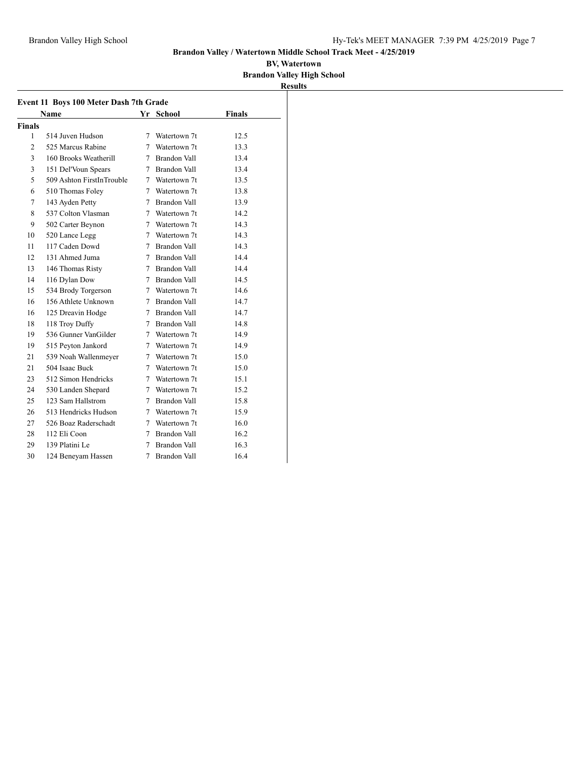|                |                                               |   |                     |               | <b>Results</b> |
|----------------|-----------------------------------------------|---|---------------------|---------------|----------------|
|                | <b>Event 11 Boys 100 Meter Dash 7th Grade</b> |   |                     |               |                |
|                | <b>Name</b>                                   |   | Yr School           | <b>Finals</b> |                |
| Finals         |                                               |   |                     |               |                |
| 1              | 514 Juven Hudson                              |   | 7 Watertown 7t      | 12.5          |                |
| 2              | 525 Marcus Rabine                             |   | 7 Watertown 7t      | 13.3          |                |
| 3              | 160 Brooks Weatherill                         |   | 7 Brandon Vall      | 13.4          |                |
| 3              | 151 Del'Voun Spears                           |   | 7 Brandon Vall      | 13.4          |                |
| 5              | 509 Ashton FirstInTrouble                     |   | 7 Watertown 7t      | 13.5          |                |
| 6              | 510 Thomas Foley                              |   | 7 Watertown 7t      | 13.8          |                |
| $\overline{7}$ | 143 Ayden Petty                               |   | 7 Brandon Vall      | 13.9          |                |
| 8              | 537 Colton Vlasman                            |   | 7 Watertown 7t      | 14.2          |                |
| 9              | 502 Carter Beynon                             |   | 7 Watertown 7t      | 14.3          |                |
| 10             | 520 Lance Legg                                |   | 7 Watertown 7t      | 14.3          |                |
| 11             | 117 Caden Dowd                                |   | 7 Brandon Vall      | 14.3          |                |
| 12             | 131 Ahmed Juma                                |   | 7 Brandon Vall      | 14.4          |                |
| 13             | 146 Thomas Risty                              |   | 7 Brandon Vall      | 14.4          |                |
| 14             | 116 Dylan Dow                                 |   | 7 Brandon Vall      | 14.5          |                |
| 15             | 534 Brody Torgerson                           |   | 7 Watertown 7t      | 14.6          |                |
| 16             | 156 Athlete Unknown                           |   | 7 Brandon Vall      | 14.7          |                |
| 16             | 125 Dreavin Hodge                             |   | 7 Brandon Vall      | 14.7          |                |
| 18             | 118 Troy Duffy                                |   | 7 Brandon Vall      | 14.8          |                |
| 19             | 536 Gunner VanGilder                          |   | 7 Watertown 7t      | 14.9          |                |
| 19             | 515 Peyton Jankord                            |   | 7 Watertown 7t      | 14.9          |                |
| 21             | 539 Noah Wallenmeyer                          |   | 7 Watertown 7t      | 15.0          |                |
| 21             | 504 Isaac Buck                                |   | 7 Watertown 7t      | 15.0          |                |
| 23             | 512 Simon Hendricks                           |   | 7 Watertown 7t      | 15.1          |                |
| 24             | 530 Landen Shepard                            |   | 7 Watertown 7t      | 15.2          |                |
| 25             | 123 Sam Hallstrom                             | 7 | <b>Brandon Vall</b> | 15.8          |                |
| 26             | 513 Hendricks Hudson                          | 7 | Watertown 7t        | 15.9          |                |
| 27             | 526 Boaz Raderschadt                          |   | 7 Watertown 7t      | 16.0          |                |
| 28             | 112 Eli Coon                                  | 7 | Brandon Vall        | 16.2          |                |
| 29             | 139 Platini Le                                | 7 | <b>Brandon Vall</b> | 16.3          |                |
| 30             | 124 Benevam Hassen                            | 7 | <b>Brandon Vall</b> | 16.4          |                |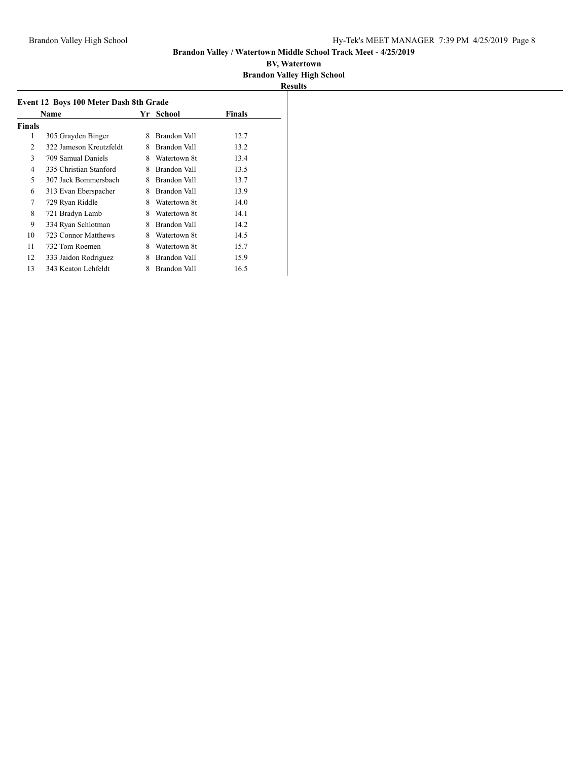|        | Name                    |   | Yr School    | <b>Finals</b> |
|--------|-------------------------|---|--------------|---------------|
| Finals |                         |   |              |               |
| 1      | 305 Grayden Binger      | 8 | Brandon Vall | 12.7          |
| 2      | 322 Jameson Kreutzfeldt | 8 | Brandon Vall | 13.2          |
| 3      | 709 Samual Daniels      | 8 | Watertown 8t | 13.4          |
| 4      | 335 Christian Stanford  | 8 | Brandon Vall | 13.5          |
| 5      | 307 Jack Bommersbach    | 8 | Brandon Vall | 13.7          |
| 6      | 313 Evan Eberspacher    | 8 | Brandon Vall | 13.9          |
| 7      | 729 Ryan Riddle         | 8 | Watertown 8t | 14.0          |
| 8      | 721 Bradyn Lamb         | 8 | Watertown 8t | 14.1          |
| 9      | 334 Ryan Schlotman      | 8 | Brandon Vall | 14.2          |
| 10     | 723 Connor Matthews     | 8 | Watertown 8t | 14.5          |
| 11     | 732 Tom Roemen          | 8 | Watertown 8t | 15.7          |
| 12     | 333 Jaidon Rodriguez    | 8 | Brandon Vall | 15.9          |
| 13     | 343 Keaton Lehfeldt     | 8 | Brandon Vall | 16.5          |
|        |                         |   |              |               |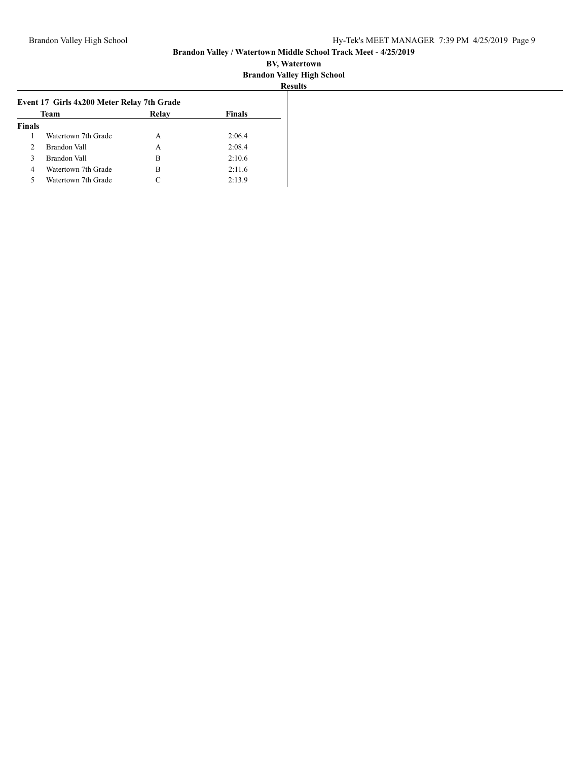| Team          |                     | Relay     | <b>Finals</b> |
|---------------|---------------------|-----------|---------------|
| <b>Finals</b> |                     |           |               |
|               | Watertown 7th Grade | А         | 2:06.4        |
| 2             | Brandon Vall        | А         | 2:08.4        |
| 3             | Brandon Vall        | в         | 2:10.6        |
| 4             | Watertown 7th Grade | В         | 2:11.6        |
| 5             | Watertown 7th Grade | $\subset$ | 2:13.9        |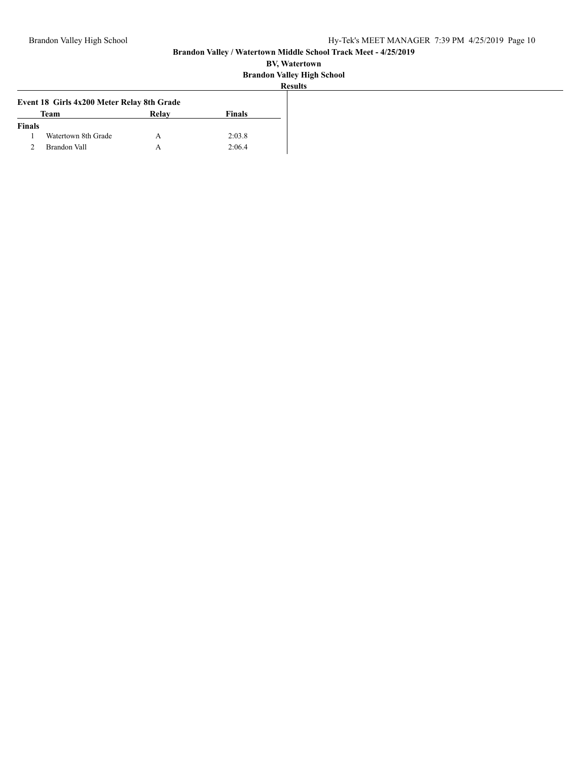|               |                                            |       |               | <b>Results</b> |
|---------------|--------------------------------------------|-------|---------------|----------------|
|               | Event 18 Girls 4x200 Meter Relay 8th Grade |       |               |                |
|               | <b>Team</b>                                | Relay | <b>Finals</b> |                |
| <b>Finals</b> |                                            |       |               |                |
|               | Watertown 8th Grade                        |       | 2:03.8        |                |
|               | <b>Brandon Vall</b>                        |       | 2:06.4        |                |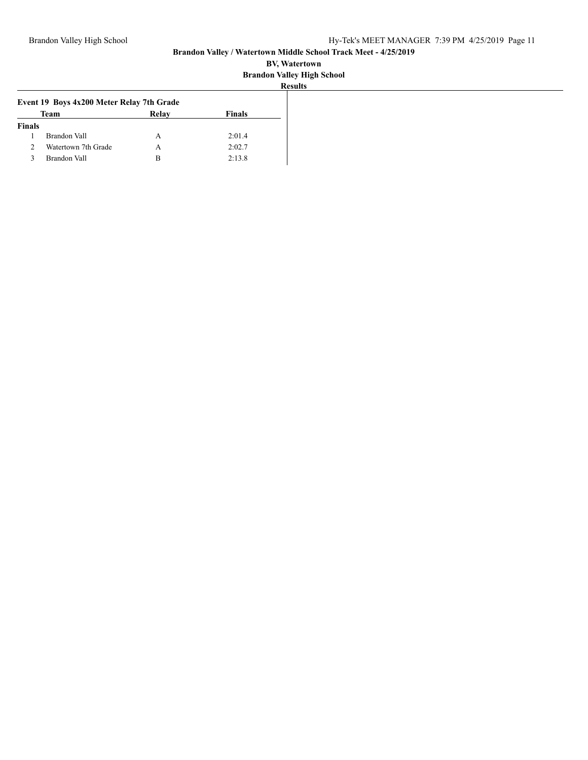|               | Event 19 Boys 4x200 Meter Relay 7th Grade |       |        |  |  |  |  |  |
|---------------|-------------------------------------------|-------|--------|--|--|--|--|--|
|               | Team                                      | Relay | Finals |  |  |  |  |  |
| <b>Finals</b> |                                           |       |        |  |  |  |  |  |
|               | Brandon Vall                              | А     | 2:01.4 |  |  |  |  |  |
| 2             | Watertown 7th Grade                       | А     | 2:02.7 |  |  |  |  |  |
|               | Brandon Vall                              | в     | 2:13.8 |  |  |  |  |  |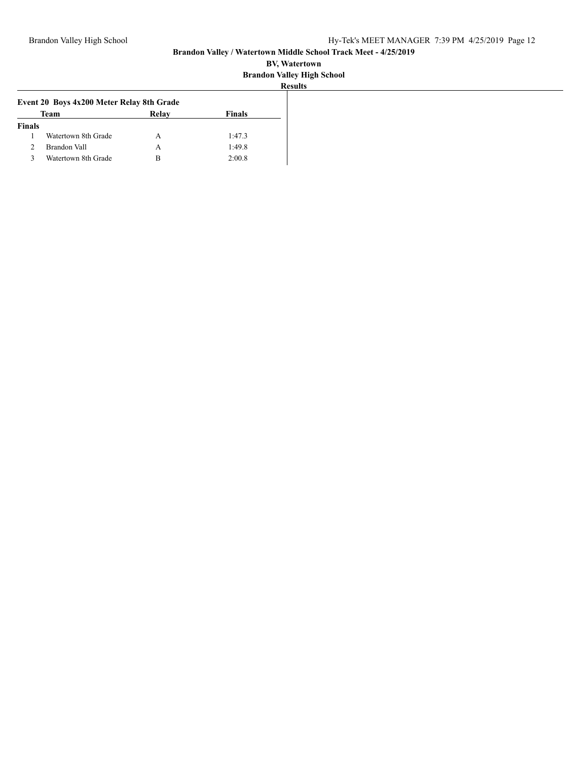|               | Event 20 Boys 4x200 Meter Relay 8th Grade<br>Team | Relay | <b>Finals</b> |  |
|---------------|---------------------------------------------------|-------|---------------|--|
| <b>Finals</b> |                                                   |       |               |  |
|               | Watertown 8th Grade                               | А     | 1:47.3        |  |
|               | Brandon Vall                                      | А     | 1:49.8        |  |
|               | Watertown 8th Grade                               | в     | 2:00.8        |  |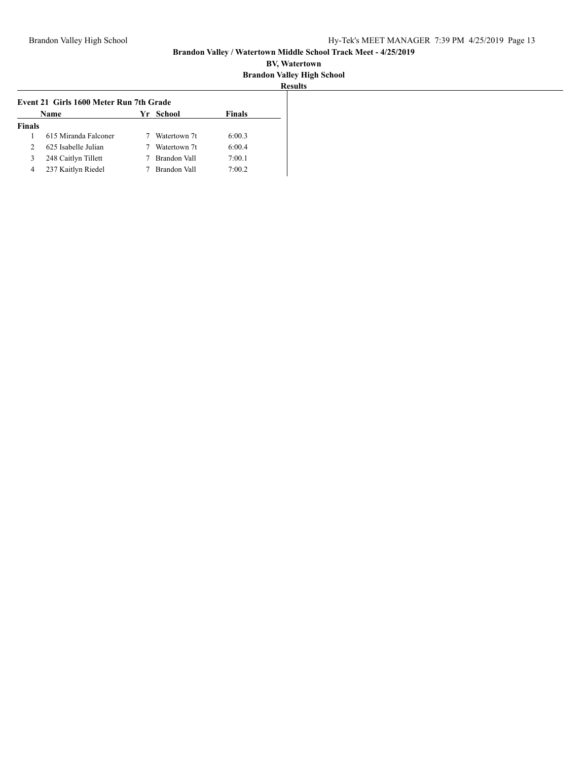|               | Event 21 Girls 1600 Meter Run 7th Grade |              |               |
|---------------|-----------------------------------------|--------------|---------------|
|               | Name                                    | Yr School    | <b>Finals</b> |
| <b>Finals</b> |                                         |              |               |
|               | 615 Miranda Falconer                    | Watertown 7t | 6:00.3        |
| 2             | 625 Isabelle Julian                     | Watertown 7t | 6:00.4        |
| 3             | 248 Caitlyn Tillett                     | Brandon Vall | 7:00.1        |
| 4             | 237 Kaitlyn Riedel                      | Brandon Vall | 7:00.2        |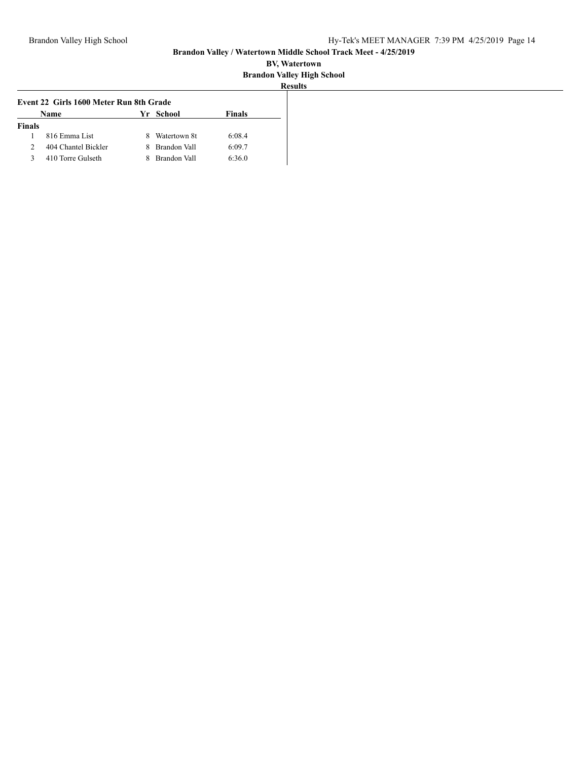| Event 22 Girls 1600 Meter Run 8th Grade |                     |   |              |               |
|-----------------------------------------|---------------------|---|--------------|---------------|
|                                         | Name                |   | Yr School    | <b>Finals</b> |
| <b>Finals</b>                           |                     |   |              |               |
|                                         | 816 Emma List       | 8 | Watertown 8t | 6:08.4        |
| 2                                       | 404 Chantel Bickler | x | Brandon Vall | 6:09.7        |
| 3                                       | 410 Torre Gulseth   | x | Brandon Vall | 6:36.0        |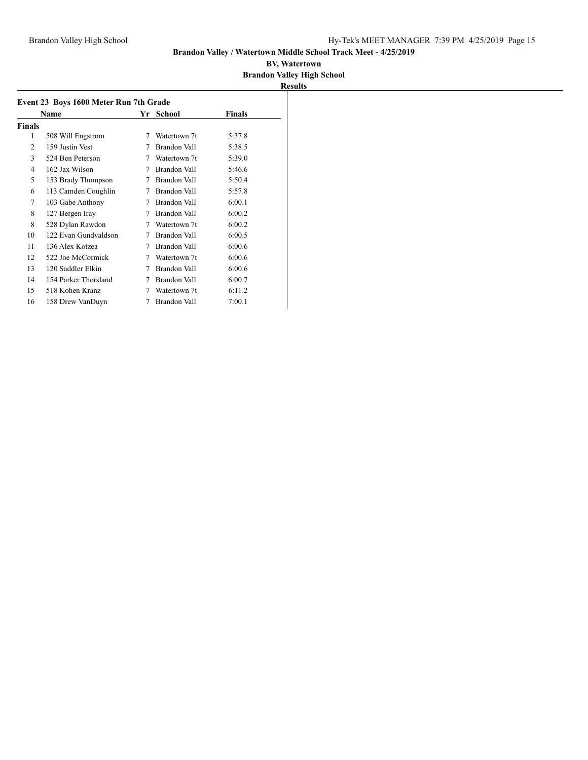|        | Name                 | Yr | School              | Finals |
|--------|----------------------|----|---------------------|--------|
| Finals |                      |    |                     |        |
| 1      | 508 Will Engstrom    | 7  | Watertown 7t        | 5:37.8 |
| 2      | 159 Justin Vest      | 7  | Brandon Vall        | 5:38.5 |
| 3      | 524 Ben Peterson     | 7  | Watertown 7t        | 5:39.0 |
| 4      | 162 Jax Wilson       | 7  | <b>Brandon Vall</b> | 5:46.6 |
| 5      | 153 Brady Thompson   | 7  | Brandon Vall        | 5:50.4 |
| 6      | 113 Camden Coughlin  | 7  | Brandon Vall        | 5:57.8 |
| 7      | 103 Gabe Anthony     | 7  | Brandon Vall        | 6:00.1 |
| 8      | 127 Bergen Iray      | 7  | Brandon Vall        | 6:00.2 |
| 8      | 528 Dylan Rawdon     | 7  | Watertown 7t        | 6:00.2 |
| 10     | 122 Evan Gundvaldson | 7  | Brandon Vall        | 6:00.5 |
| 11     | 136 Alex Kotzea      | 7  | Brandon Vall        | 6:00.6 |
| 12     | 522 Joe McCormick    | 7  | Watertown 7t        | 6:00.6 |
| 13     | 120 Saddler Elkin    | 7  | Brandon Vall        | 6:00.6 |
| 14     | 154 Parker Thorsland | 7  | Brandon Vall        | 6:00.7 |
| 15     | 518 Kohen Kranz      | 7  | Watertown 7t        | 6:11.2 |
| 16     | 158 Drew VanDuyn     | 7  | Brandon Vall        | 7:00.1 |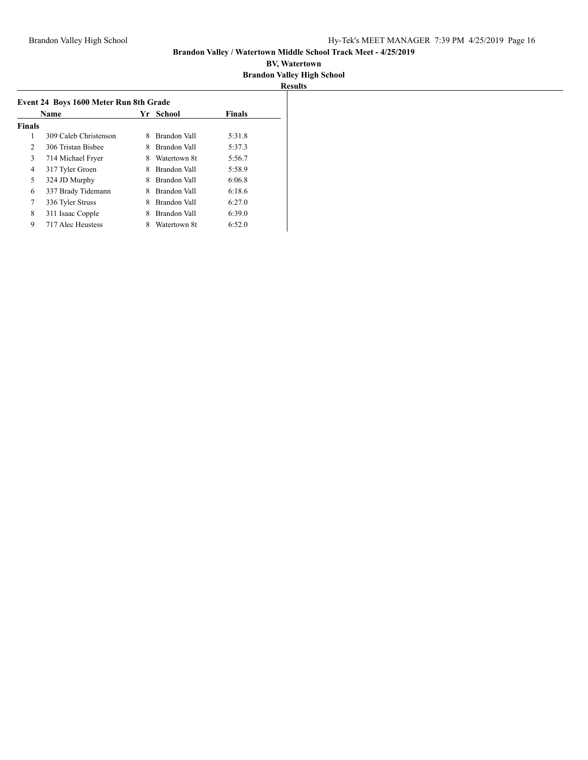| Name          |                       | School<br>Yr. |              | <b>Finals</b> |
|---------------|-----------------------|---------------|--------------|---------------|
| <b>Finals</b> |                       |               |              |               |
| 1             | 309 Caleb Christenson | 8             | Brandon Vall | 5:31.8        |
| 2             | 306 Tristan Bisbee    | 8             | Brandon Vall | 5:37.3        |
| 3             | 714 Michael Fryer     | 8             | Watertown 8t | 5:56.7        |
| 4             | 317 Tyler Groen       | 8             | Brandon Vall | 5:58.9        |
| 5             | 324 JD Murphy         | 8             | Brandon Vall | 6:06.8        |
| 6             | 337 Brady Tidemann    | 8             | Brandon Vall | 6:18.6        |
| 7             | 336 Tyler Struss      | 8             | Brandon Vall | 6:27.0        |
| 8             | 311 Isaac Copple      |               | Brandon Vall | 6:39.0        |
| 9             | 717 Alec Heustess     | 8             | Watertown 8t | 6:52.0        |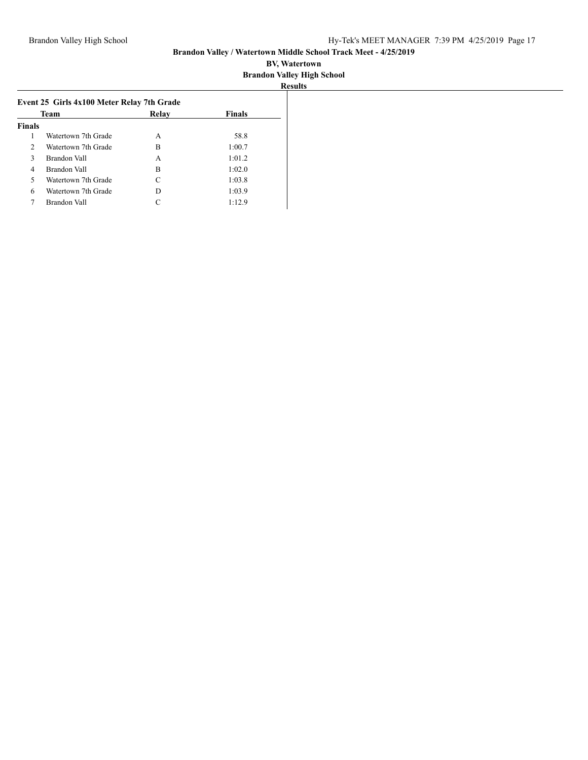| Team          |                     | Relay | <b>Finals</b> |  |
|---------------|---------------------|-------|---------------|--|
| <b>Finals</b> |                     |       |               |  |
| 1             | Watertown 7th Grade | A     | 58.8          |  |
| 2             | Watertown 7th Grade | в     | 1:00.7        |  |
| 3             | Brandon Vall        | A     | 1:01.2        |  |
| 4             | Brandon Vall        | В     | 1:02.0        |  |
| 5             | Watertown 7th Grade | C     | 1:03.8        |  |
| 6             | Watertown 7th Grade | D     | 1:03.9        |  |
| 7             | Brandon Vall        |       | 1:12.9        |  |
|               |                     |       |               |  |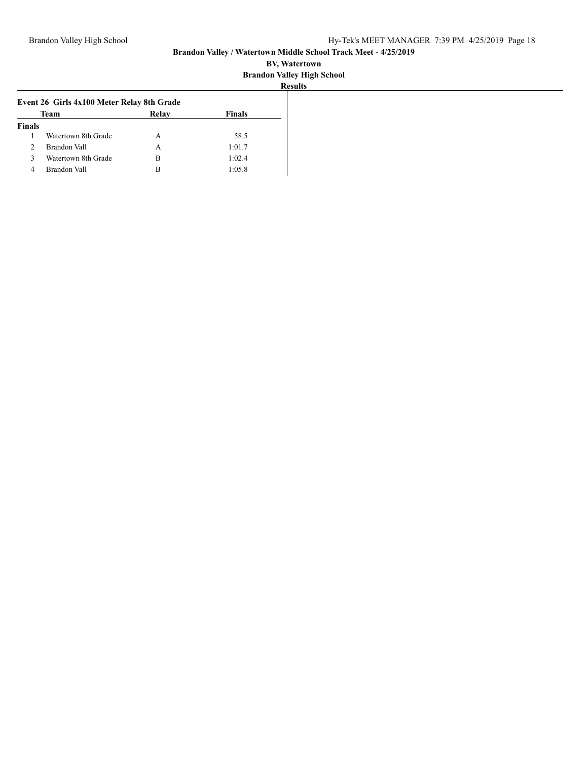|                | Team                | Relay | <b>Finals</b> |
|----------------|---------------------|-------|---------------|
| <b>Finals</b>  |                     |       |               |
|                | Watertown 8th Grade | А     | 58.5          |
| $\mathfrak{D}$ | Brandon Vall        | A     | 1:01.7        |
| 3              | Watertown 8th Grade | В     | 1:02.4        |
| 4              | Brandon Vall        | в     | 1:05.8        |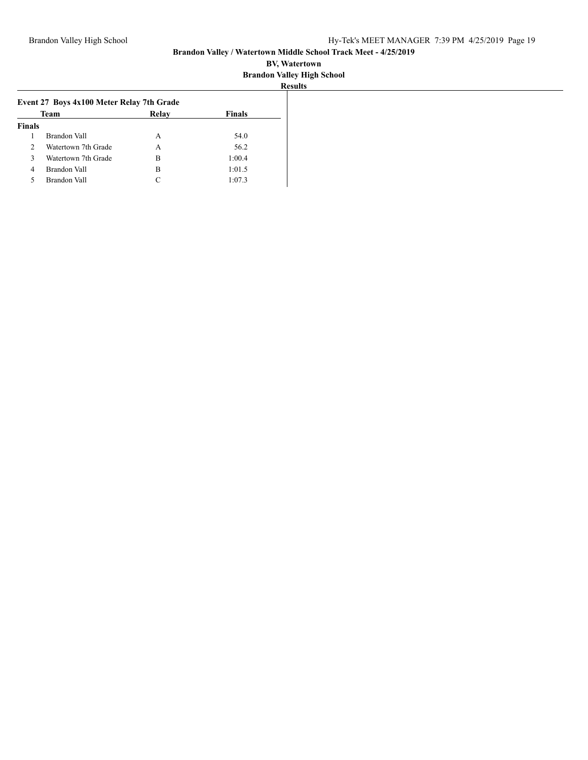| Team           |                     | Relay | <b>Finals</b> |  |
|----------------|---------------------|-------|---------------|--|
| <b>Finals</b>  |                     |       |               |  |
|                | Brandon Vall        | A     | 54.0          |  |
| $\mathcal{D}$  | Watertown 7th Grade | А     | 56.2          |  |
| 3              | Watertown 7th Grade | в     | 1:00.4        |  |
| $\overline{4}$ | Brandon Vall        | В     | 1:01.5        |  |
| 5              | Brandon Vall        | C     | 1:07.3        |  |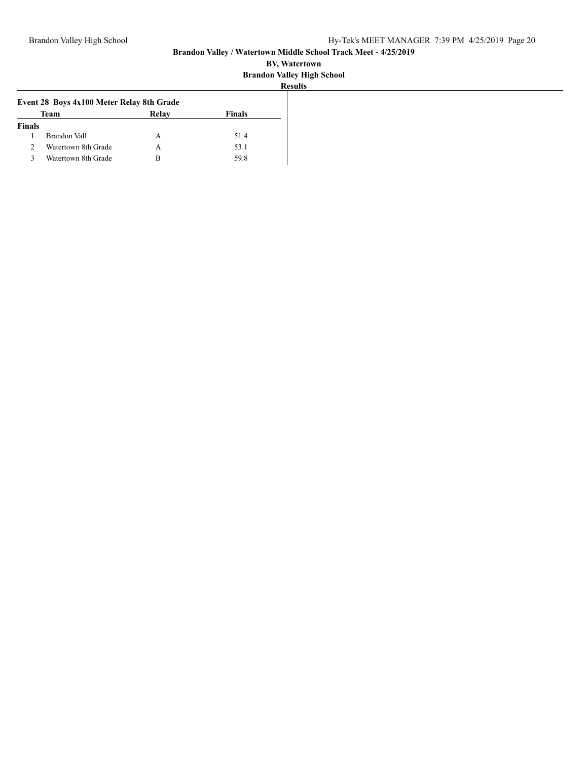|               |                                           |       |               | --------- |
|---------------|-------------------------------------------|-------|---------------|-----------|
|               | Event 28 Boys 4x100 Meter Relay 8th Grade |       |               |           |
|               | Team                                      | Relay | <b>Finals</b> |           |
| <b>Finals</b> |                                           |       |               |           |
|               | Brandon Vall                              | А     | 51.4          |           |
|               | Watertown 8th Grade                       | А     | 53.1          |           |
|               | Watertown 8th Grade                       | в     | 59.8          |           |
|               |                                           |       |               |           |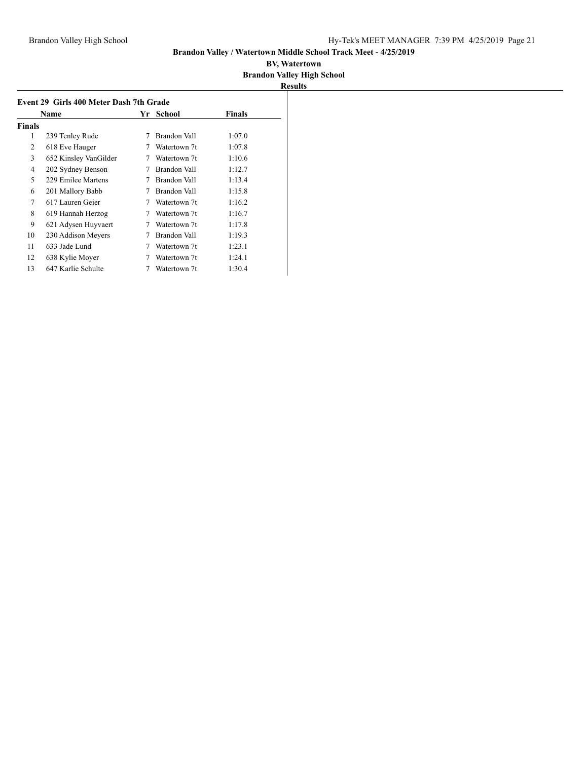|        | Event 29 Girls 400 Meter Dash 7th Grade |    |              |               |
|--------|-----------------------------------------|----|--------------|---------------|
|        | Name                                    | Yr | School       | <b>Finals</b> |
| Finals |                                         |    |              |               |
| 1      | 239 Tenley Rude                         | 7  | Brandon Vall | 1:07.0        |
| 2      | 618 Eve Hauger                          |    | Watertown 7t | 1:07.8        |
| 3      | 652 Kinsley VanGilder                   | 7  | Watertown 7t | 1:10.6        |
| 4      | 202 Sydney Benson                       | 7  | Brandon Vall | 1:12.7        |
| 5      | 229 Emilee Martens                      | 7  | Brandon Vall | 1:13.4        |
| 6      | 201 Mallory Babb                        | 7  | Brandon Vall | 1:15.8        |
| 7      | 617 Lauren Geier                        | 7  | Watertown 7t | 1:16.2        |
| 8      | 619 Hannah Herzog                       | 7  | Watertown 7t | 1:16.7        |
| 9      | 621 Adysen Huyvaert                     | 7  | Watertown 7t | 1:17.8        |
| 10     | 230 Addison Meyers                      |    | Brandon Vall | 1:19.3        |
| 11     | 633 Jade Lund                           | 7  | Watertown 7t | 1:23.1        |
| 12     | 638 Kylie Moyer                         |    | Watertown 7t | 1:24.1        |
| 13     | 647 Karlie Schulte                      |    | Watertown 7t | 1:30.4        |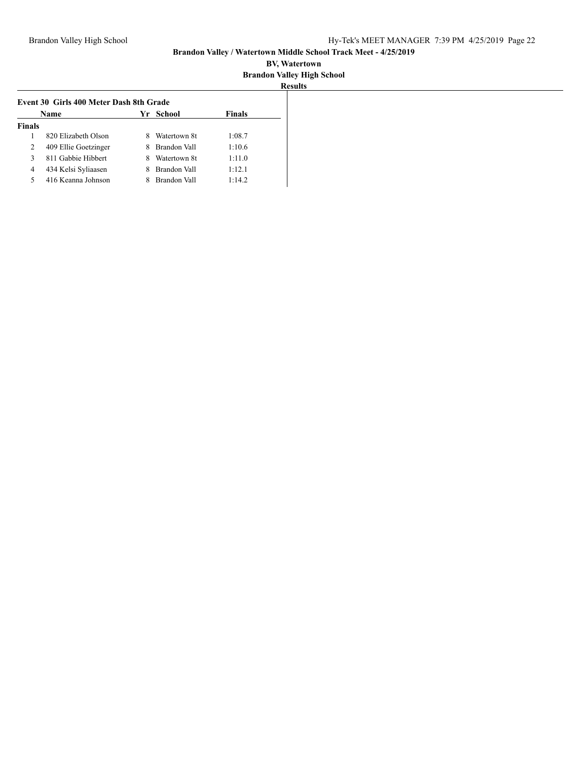|               | Name                 | Yr. | School       | Finals |
|---------------|----------------------|-----|--------------|--------|
| <b>Finals</b> |                      |     |              |        |
|               | 820 Elizabeth Olson  |     | Watertown 8t | 1:08.7 |
| 2             | 409 Ellie Goetzinger | 8   | Brandon Vall | 1:10.6 |
| 3             | 811 Gabbie Hibbert   |     | Watertown 8t | 1:11.0 |
| 4             | 434 Kelsi Syliaasen  |     | Brandon Vall | 1:12.1 |
| 5             | 416 Keanna Johnson   |     | Brandon Vall | 1:14.2 |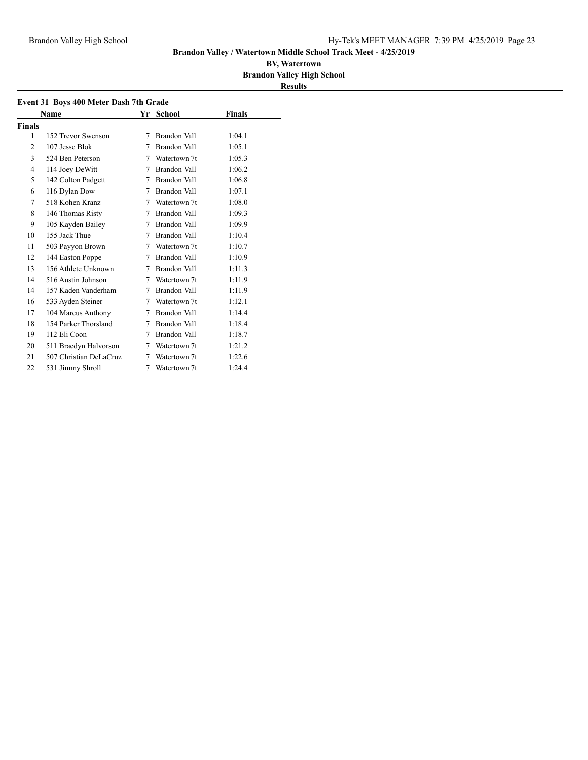|                | <b>Event 31 Boys 400 Meter Dash 7th Grade</b> |   |                     |               |  |
|----------------|-----------------------------------------------|---|---------------------|---------------|--|
|                | Name                                          |   | Yr School           | <b>Finals</b> |  |
| Finals         |                                               |   |                     |               |  |
| 1              | 152 Trevor Swenson                            | 7 | Brandon Vall        | 1:04.1        |  |
| $\overline{c}$ | 107 Jesse Blok                                | 7 | <b>Brandon Vall</b> | 1:05.1        |  |
| 3              | 524 Ben Peterson                              | 7 | Watertown 7t        | 1:05.3        |  |
| $\overline{4}$ | 114 Joey DeWitt                               | 7 | Brandon Vall        | 1:06.2        |  |
| 5              | 142 Colton Padgett                            | 7 | Brandon Vall        | 1:06.8        |  |
| 6              | 116 Dylan Dow                                 | 7 | Brandon Vall        | 1:07.1        |  |
| 7              | 518 Kohen Kranz                               | 7 | Watertown 7t        | 1:08.0        |  |
| 8              | 146 Thomas Risty                              | 7 | <b>Brandon Vall</b> | 1:09.3        |  |
| 9              | 105 Kayden Bailey                             | 7 | Brandon Vall        | 1:09.9        |  |
| 10             | 155 Jack Thue                                 | 7 | Brandon Vall        | 1:10.4        |  |
| 11             | 503 Payyon Brown                              | 7 | Watertown 7t        | 1:10.7        |  |
| 12             | 144 Easton Poppe                              | 7 | Brandon Vall        | 1:10.9        |  |
| 13             | 156 Athlete Unknown                           | 7 | Brandon Vall        | 1:11.3        |  |
| 14             | 516 Austin Johnson                            | 7 | Watertown 7t        | 1:11.9        |  |
| 14             | 157 Kaden Vanderham                           | 7 | Brandon Vall        | 1:11.9        |  |
| 16             | 533 Ayden Steiner                             | 7 | Watertown 7t        | 1:12.1        |  |
| 17             | 104 Marcus Anthony                            | 7 | Brandon Vall        | 1:14.4        |  |
| 18             | 154 Parker Thorsland                          | 7 | <b>Brandon Vall</b> | 1:18.4        |  |
| 19             | 112 Eli Coon                                  | 7 | Brandon Vall        | 1:18.7        |  |
| 20             | 511 Braedyn Halvorson                         | 7 | Watertown 7t        | 1:21.2        |  |
| 21             | 507 Christian DeLaCruz                        | 7 | Watertown 7t        | 1:22.6        |  |
| 22             | 531 Jimmy Shroll                              | 7 | Watertown 7t        | 1:24.4        |  |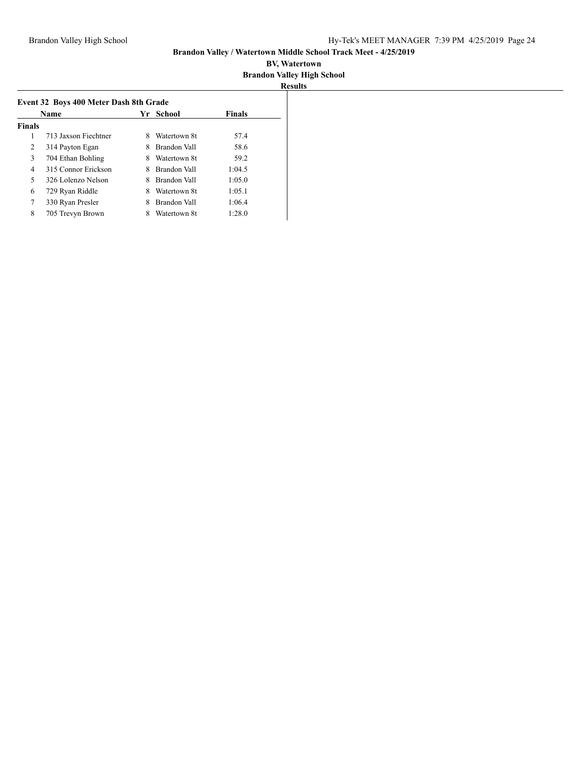| <b>Name</b>   |                      | Yr School |              | <b>Finals</b> |
|---------------|----------------------|-----------|--------------|---------------|
| <b>Finals</b> |                      |           |              |               |
| 1             | 713 Jaxson Fiechtner | 8         | Watertown 8t | 57.4          |
| 2             | 314 Payton Egan      | 8         | Brandon Vall | 58.6          |
| 3             | 704 Ethan Bohling    |           | Watertown 8t | 59.2          |
| 4             | 315 Connor Erickson  | 8         | Brandon Vall | 1:04.5        |
| 5             | 326 Lolenzo Nelson   | 8         | Brandon Vall | 1:05.0        |
| 6             | 729 Ryan Riddle      | 8         | Watertown 8t | 1:05.1        |
| 7             | 330 Ryan Presler     | 8         | Brandon Vall | 1:06.4        |
| 8             | 705 Trevyn Brown     | 8         | Watertown 8t | 1:28.0        |
|               |                      |           |              |               |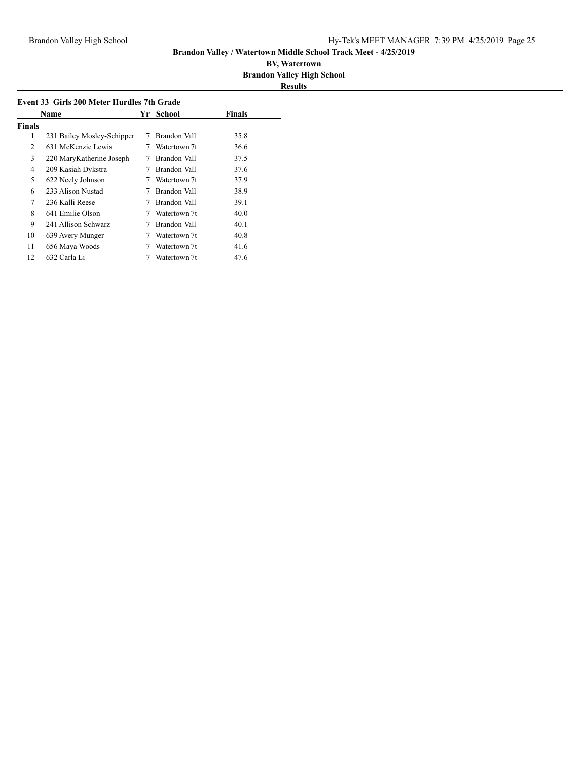| Event 33 Girls 200 Meter Hurdles 7th Grade |                            |    |              |               |  |
|--------------------------------------------|----------------------------|----|--------------|---------------|--|
|                                            | Name                       | Yr | School       | <b>Finals</b> |  |
| Finals                                     |                            |    |              |               |  |
| 1                                          | 231 Bailey Mosley-Schipper | 7  | Brandon Vall | 35.8          |  |
| 2                                          | 631 McKenzie Lewis         | 7  | Watertown 7t | 36.6          |  |
| 3                                          | 220 MaryKatherine Joseph   |    | Brandon Vall | 37.5          |  |
| 4                                          | 209 Kasiah Dykstra         | 7  | Brandon Vall | 37.6          |  |
| 5                                          | 622 Neely Johnson          |    | Watertown 7t | 37.9          |  |
| 6                                          | 233 Alison Nustad          | 7  | Brandon Vall | 38.9          |  |
| 7                                          | 236 Kalli Reese            | 7  | Brandon Vall | 39.1          |  |
| 8                                          | 641 Emilie Olson           |    | Watertown 7t | 40.0          |  |
| 9                                          | 241 Allison Schwarz        | 7  | Brandon Vall | 40.1          |  |
| 10                                         | 639 Avery Munger           |    | Watertown 7t | 40.8          |  |
| 11                                         | 656 Maya Woods             |    | Watertown 7t | 41.6          |  |
| 12                                         | 632 Carla Li               |    | Watertown 7t | 47.6          |  |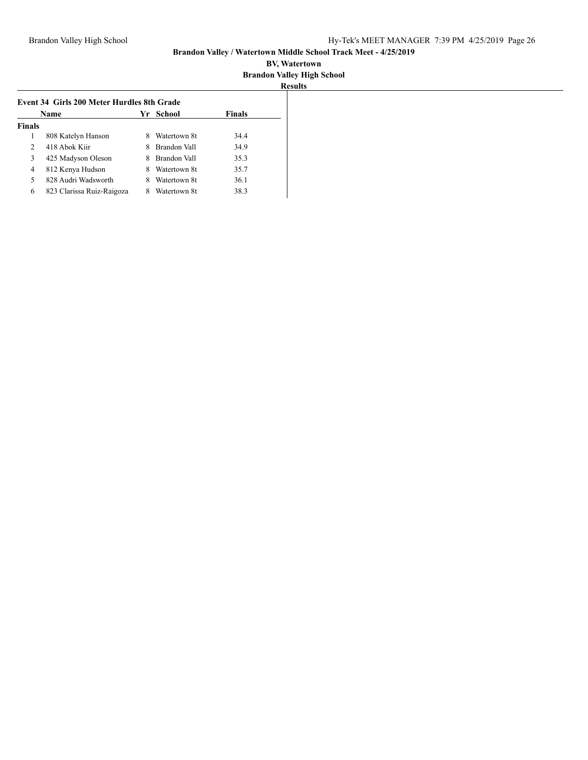|                | Name                      | Yr | School       | <b>Finals</b> |
|----------------|---------------------------|----|--------------|---------------|
| <b>Finals</b>  |                           |    |              |               |
|                | 808 Katelyn Hanson        |    | Watertown 8t | 34.4          |
| $\mathfrak{D}$ | 418 Abok Kiir             |    | Brandon Vall | 34.9          |
| 3              | 425 Madyson Oleson        |    | Brandon Vall | 35.3          |
| 4              | 812 Kenya Hudson          | 8  | Watertown 8t | 35.7          |
| 5              | 828 Audri Wadsworth       | 8  | Watertown 8t | 36.1          |
| 6              | 823 Clarissa Ruiz-Raigoza |    | Watertown 8t | 38.3          |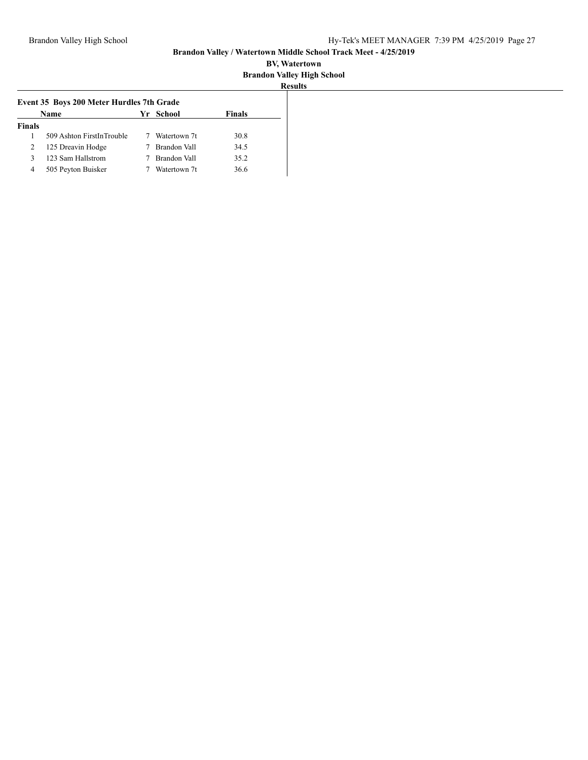|               | Name                      | Yr School    | <b>Finals</b> |
|---------------|---------------------------|--------------|---------------|
| <b>Finals</b> |                           |              |               |
|               | 509 Ashton FirstInTrouble | Watertown 7t | 30.8          |
| 2             | 125 Dreavin Hodge         | Brandon Vall | 34.5          |
| 3             | 123 Sam Hallstrom         | Brandon Vall | 35.2          |
| 4             | 505 Peyton Buisker        | Watertown 7t | 36.6          |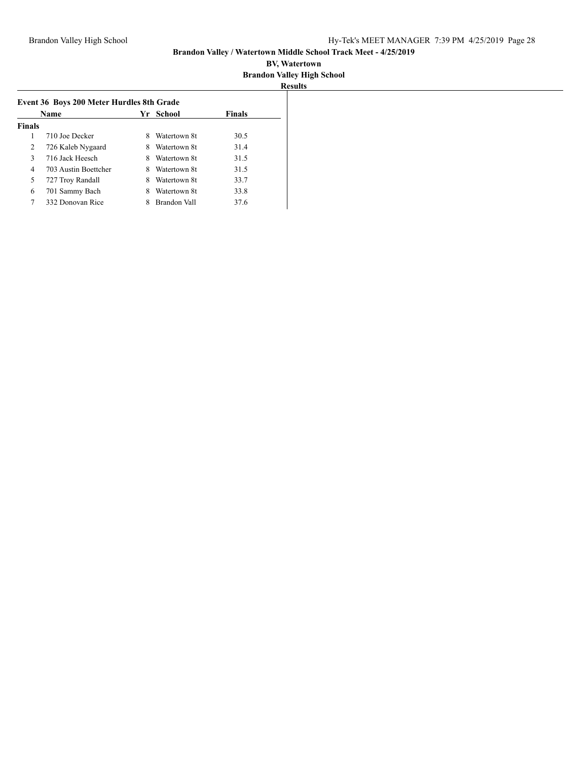| Name          |                      |   | Yr School    | <b>Finals</b> |
|---------------|----------------------|---|--------------|---------------|
| <b>Finals</b> |                      |   |              |               |
|               | 710 Joe Decker       | 8 | Watertown 8t | 30.5          |
| 2             | 726 Kaleb Nygaard    | 8 | Watertown 8t | 31.4          |
| 3             | 716 Jack Heesch      | 8 | Watertown 8t | 31.5          |
| 4             | 703 Austin Boettcher | 8 | Watertown 8t | 31.5          |
| 5             | 727 Troy Randall     | 8 | Watertown 8t | 33.7          |
| 6             | 701 Sammy Bach       |   | Watertown 8t | 33.8          |
| 7             | 332 Donovan Rice     |   | Brandon Vall | 37.6          |
|               |                      |   |              |               |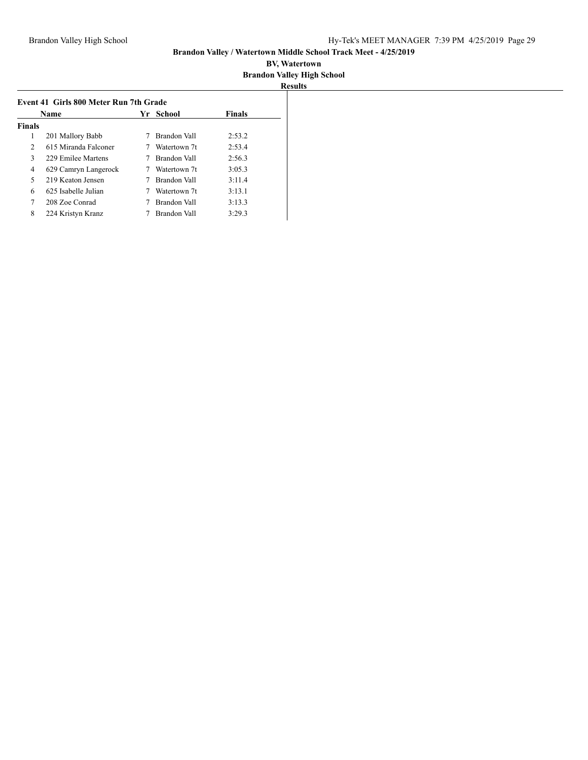| Name           |                      | Yr. | School       | <b>Finals</b> |
|----------------|----------------------|-----|--------------|---------------|
| <b>Finals</b>  |                      |     |              |               |
| 1              | 201 Mallory Babb     |     | Brandon Vall | 2:53.2        |
| $\overline{2}$ | 615 Miranda Falconer |     | Watertown 7t | 2:53.4        |
| 3              | 229 Emilee Martens   |     | Brandon Vall | 2:56.3        |
| 4              | 629 Camryn Langerock |     | Watertown 7t | 3:05.3        |
| 5              | 219 Keaton Jensen    |     | Brandon Vall | 3:11.4        |
| 6              | 625 Isabelle Julian  |     | Watertown 7t | 3:13.1        |
| 7              | 208 Zoe Conrad       |     | Brandon Vall | 3:13.3        |
| 8              | 224 Kristyn Kranz    |     | Brandon Vall | 3:29.3        |
|                |                      |     |              |               |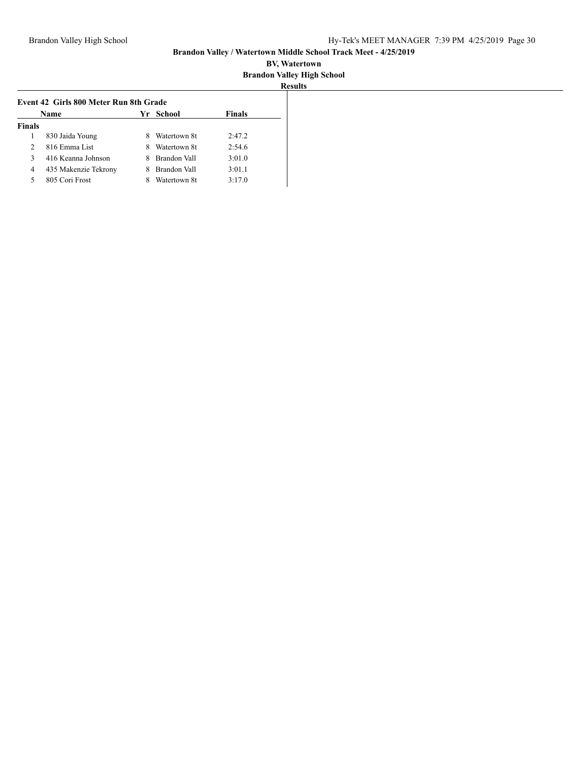| Name          |                      | School<br>Yr. |              | <b>Finals</b> |
|---------------|----------------------|---------------|--------------|---------------|
| <b>Finals</b> |                      |               |              |               |
|               | 830 Jaida Young      |               | Watertown 8t | 2:47.2        |
| $\mathcal{L}$ | 816 Emma List        | 8             | Watertown 8t | 2:54.6        |
| 3             | 416 Keanna Johnson   |               | Brandon Vall | 3:01.0        |
| 4             | 435 Makenzie Tekrony |               | Brandon Vall | 3:01.1        |
| 5             | 805 Cori Frost       |               | Watertown 8t | 3:17.0        |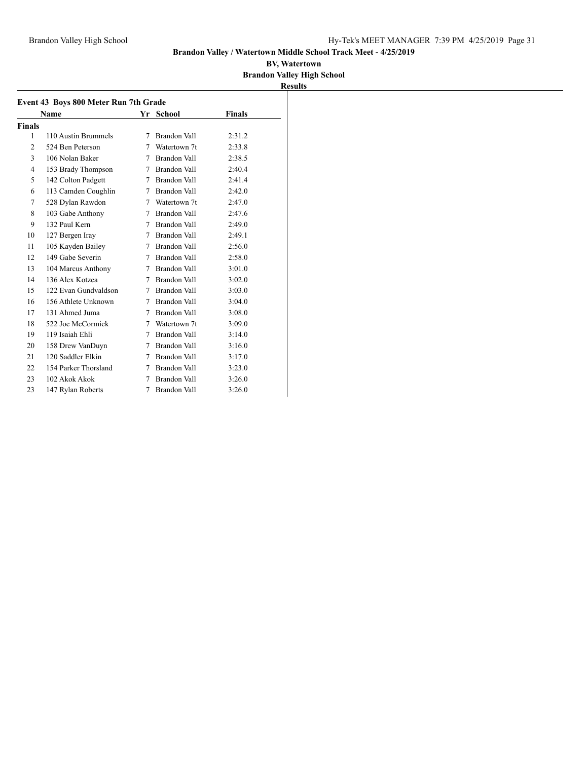|                |                                       |   |                     |               | <b>Results</b> |
|----------------|---------------------------------------|---|---------------------|---------------|----------------|
|                | Event 43 Boys 800 Meter Run 7th Grade |   |                     |               |                |
|                | Name                                  |   | Yr School           | <b>Finals</b> |                |
| <b>Finals</b>  |                                       |   |                     |               |                |
| 1              | 110 Austin Brummels                   | 7 | Brandon Vall        | 2:31.2        |                |
| $\overline{c}$ | 524 Ben Peterson                      | 7 | Watertown 7t        | 2:33.8        |                |
| 3              | 106 Nolan Baker                       | 7 | Brandon Vall        | 2:38.5        |                |
| 4              | 153 Brady Thompson                    | 7 | Brandon Vall        | 2:40.4        |                |
| 5              | 142 Colton Padgett                    |   | 7 Brandon Vall      | 2:41.4        |                |
| 6              | 113 Camden Coughlin                   | 7 | Brandon Vall        | 2:42.0        |                |
| 7              | 528 Dylan Rawdon                      | 7 | Watertown 7t        | 2:47.0        |                |
| 8              | 103 Gabe Anthony                      |   | 7 Brandon Vall      | 2:47.6        |                |
| 9              | 132 Paul Kern                         | 7 | Brandon Vall        | 2:49.0        |                |
| 10             | 127 Bergen Iray                       |   | 7 Brandon Vall      | 2:49.1        |                |
| 11             | 105 Kayden Bailey                     | 7 | Brandon Vall        | 2:56.0        |                |
| 12             | 149 Gabe Severin                      | 7 | Brandon Vall        | 2:58.0        |                |
| 13             | 104 Marcus Anthony                    |   | 7 Brandon Vall      | 3:01.0        |                |
| 14             | 136 Alex Kotzea                       | 7 | Brandon Vall        | 3:02.0        |                |
| 15             | 122 Evan Gundvaldson                  | 7 | Brandon Vall        | 3:03.0        |                |
| 16             | 156 Athlete Unknown                   |   | 7 Brandon Vall      | 3:04.0        |                |
| 17             | 131 Ahmed Juma                        | 7 | Brandon Vall        | 3:08.0        |                |
| 18             | 522 Joe McCormick                     | 7 | Watertown 7t        | 3:09.0        |                |
| 19             | 119 Isaiah Ehli                       | 7 | Brandon Vall        | 3:14.0        |                |
| 20             | 158 Drew VanDuyn                      | 7 | Brandon Vall        | 3:16.0        |                |
| 21             | 120 Saddler Elkin                     | 7 | Brandon Vall        | 3:17.0        |                |
| 22             | 154 Parker Thorsland                  | 7 | Brandon Vall        | 3:23.0        |                |
| 23             | 102 Akok Akok                         | 7 | Brandon Vall        | 3:26.0        |                |
| 23             | 147 Rylan Roberts                     | 7 | <b>Brandon Vall</b> | 3:26.0        |                |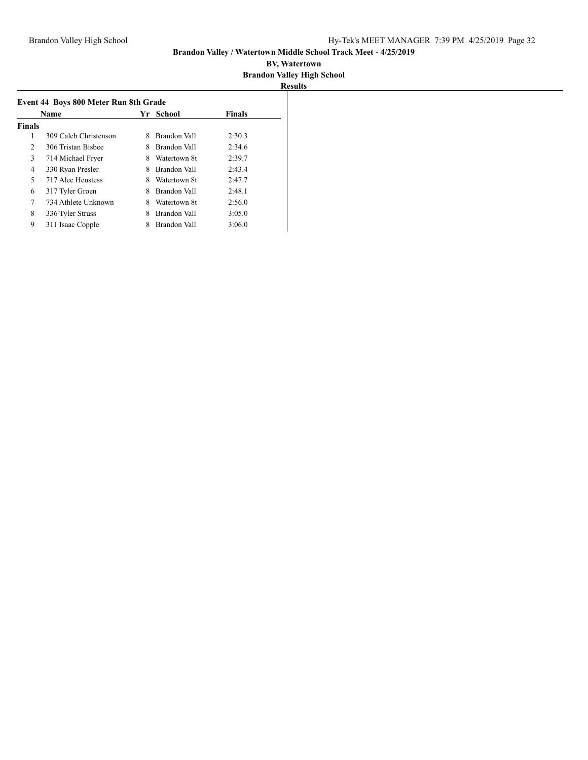| Name          |                       | Yr. | School       | <b>Finals</b> |
|---------------|-----------------------|-----|--------------|---------------|
| <b>Finals</b> |                       |     |              |               |
| 1             | 309 Caleb Christenson | 8   | Brandon Vall | 2:30.3        |
| 2             | 306 Tristan Bishee    | 8   | Brandon Vall | 2:34.6        |
| 3             | 714 Michael Fryer     | 8   | Watertown 8t | 2:39.7        |
| 4             | 330 Ryan Presler      | 8   | Brandon Vall | 2:43.4        |
| 5             | 717 Alec Heustess     | 8   | Watertown 8t | 2:47.7        |
| 6             | 317 Tyler Groen       | 8   | Brandon Vall | 2:48.1        |
| 7             | 734 Athlete Unknown   | 8   | Watertown 8t | 2:56.0        |
| 8             | 336 Tyler Struss      | 8   | Brandon Vall | 3:05.0        |
| 9             | 311 Isaac Copple      | 8   | Brandon Vall | 3:06.0        |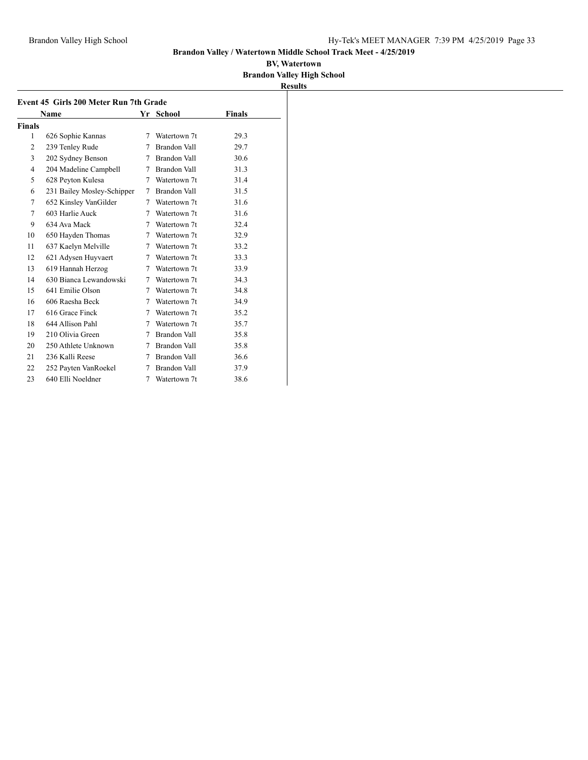|                | Event 45 Girls 200 Meter Run 7th Grade |   |                |               |  |
|----------------|----------------------------------------|---|----------------|---------------|--|
|                | Name                                   |   | Yr School      | <b>Finals</b> |  |
| Finals         |                                        |   |                |               |  |
| 1              | 626 Sophie Kannas                      | 7 | Watertown 7t   | 29.3          |  |
| $\overline{2}$ | 239 Tenley Rude                        | 7 | Brandon Vall   | 29.7          |  |
| 3              | 202 Sydney Benson                      | 7 | Brandon Vall   | 30.6          |  |
| 4              | 204 Madeline Campbell                  |   | 7 Brandon Vall | 31.3          |  |
| 5              | 628 Peyton Kulesa                      |   | 7 Watertown 7t | 31.4          |  |
| 6              | 231 Bailey Mosley-Schipper             |   | 7 Brandon Vall | 31.5          |  |
| 7              | 652 Kinsley VanGilder                  |   | 7 Watertown 7t | 31.6          |  |
| 7              | 603 Harlie Auck                        |   | 7 Watertown 7t | 31.6          |  |
| 9              | 634 Ava Mack                           | 7 | Watertown 7t   | 32.4          |  |
| 10             | 650 Hayden Thomas                      |   | 7 Watertown 7t | 32.9          |  |
| 11             | 637 Kaelyn Melville                    |   | 7 Watertown 7t | 33.2          |  |
| 12             | 621 Adysen Huyvaert                    |   | 7 Watertown 7t | 33.3          |  |
| 13             | 619 Hannah Herzog                      |   | 7 Watertown 7t | 33.9          |  |
| 14             | 630 Bianca Lewandowski                 | 7 | Watertown 7t   | 34.3          |  |
| 15             | 641 Emilie Olson                       |   | 7 Watertown 7t | 34.8          |  |
| 16             | 606 Raesha Beck                        | 7 | Watertown 7t   | 34.9          |  |
| 17             | 616 Grace Finck                        | 7 | Watertown 7t   | 35.2          |  |
| 18             | 644 Allison Pahl                       | 7 | Watertown 7t   | 35.7          |  |
| 19             | 210 Olivia Green                       | 7 | Brandon Vall   | 35.8          |  |
| 20             | 250 Athlete Unknown                    | 7 | Brandon Vall   | 35.8          |  |
| 21             | 236 Kalli Reese                        | 7 | Brandon Vall   | 36.6          |  |
| 22             | 252 Payten VanRoekel                   | 7 | Brandon Vall   | 37.9          |  |
| 23             | 640 Elli Noeldner                      | 7 | Watertown 7t   | 38.6          |  |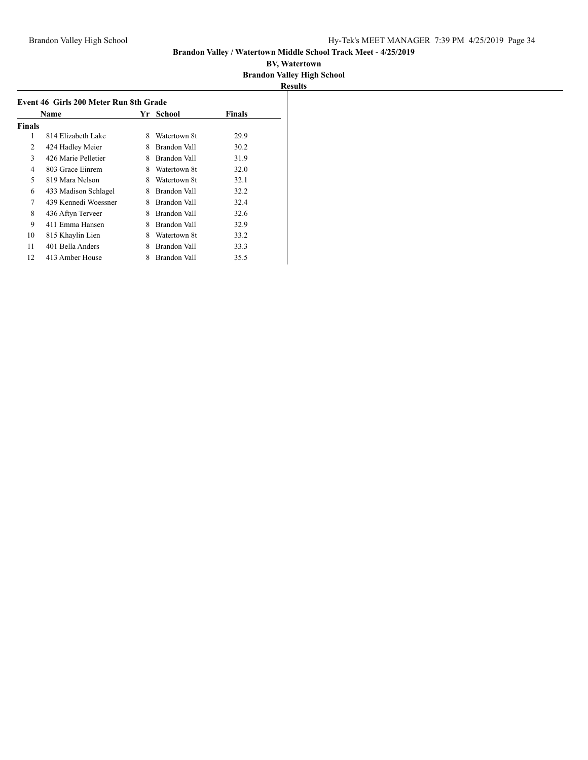|               | Name                 |   | Yr School    | Finals |
|---------------|----------------------|---|--------------|--------|
| <b>Finals</b> |                      |   |              |        |
| 1             | 814 Elizabeth Lake   | 8 | Watertown 8t | 29.9   |
| 2             | 424 Hadley Meier     | 8 | Brandon Vall | 30.2   |
| 3             | 426 Marie Pelletier  | 8 | Brandon Vall | 31.9   |
| 4             | 803 Grace Einrem     | 8 | Watertown 8t | 32.0   |
| 5             | 819 Mara Nelson      | 8 | Watertown 8t | 32.1   |
| 6             | 433 Madison Schlagel | 8 | Brandon Vall | 32.2   |
| 7             | 439 Kennedi Woessner | 8 | Brandon Vall | 32.4   |
| 8             | 436 Aftyn Terveer    | 8 | Brandon Vall | 32.6   |
| 9             | 411 Emma Hansen      | 8 | Brandon Vall | 32.9   |
| 10            | 815 Khaylin Lien     | 8 | Watertown 8t | 33.2   |
| 11            | 401 Bella Anders     | 8 | Brandon Vall | 33.3   |
| 12            | 413 Amber House      | 8 | Brandon Vall | 35.5   |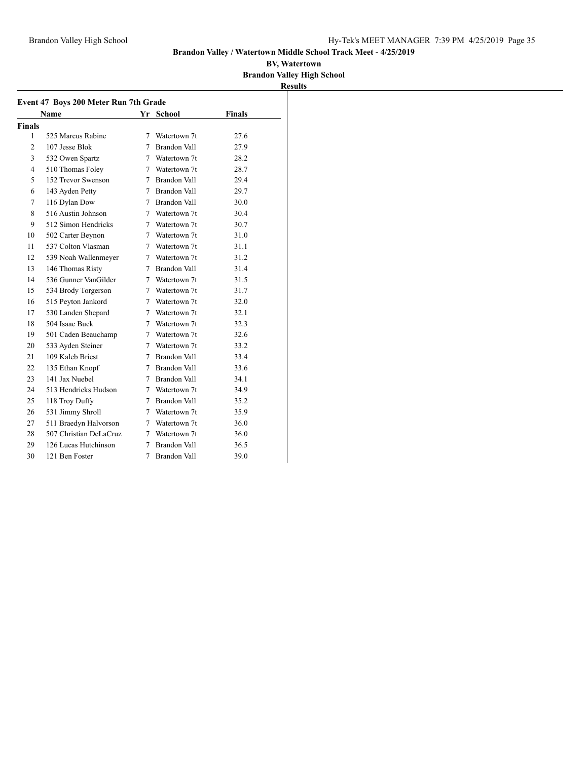|               | Event 47 Boys 200 Meter Run 7th Grade |             |                     |               |
|---------------|---------------------------------------|-------------|---------------------|---------------|
|               | <b>Name</b>                           |             | Yr School           | <b>Finals</b> |
| <b>Finals</b> |                                       |             |                     |               |
| 1             | 525 Marcus Rabine                     | 7           | Watertown 7t        | 27.6          |
| 2             | 107 Jesse Blok                        | 7           | Brandon Vall        | 27.9          |
| 3             | 532 Owen Spartz                       |             | 7 Watertown 7t      | 28.2          |
| 4             | 510 Thomas Foley                      |             | 7 Watertown 7t      | 28.7          |
| 5             | 152 Trevor Swenson                    | $7^{\circ}$ | <b>Brandon Vall</b> | 29.4          |
| 6             | 143 Ayden Petty                       | 7           | Brandon Vall        | 29.7          |
| 7             | 116 Dylan Dow                         | 7           | Brandon Vall        | 30.0          |
| 8             | 516 Austin Johnson                    | 7           | Watertown 7t        | 30.4          |
| 9             | 512 Simon Hendricks                   | $7^{\circ}$ | Watertown 7t        | 30.7          |
| 10            | 502 Carter Beynon                     |             | 7 Watertown 7t      | 31.0          |
| 11            | 537 Colton Vlasman                    |             | 7 Watertown 7t      | 31.1          |
| 12            | 539 Noah Wallenmeyer                  |             | 7 Watertown 7t      | 31.2          |
| 13            | 146 Thomas Risty                      | 7           | <b>Brandon Vall</b> | 31.4          |
| 14            | 536 Gunner VanGilder                  |             | 7 Watertown 7t      | 31.5          |
| 15            | 534 Brody Torgerson                   | 7           | Watertown 7t        | 31.7          |
| 16            | 515 Peyton Jankord                    | 7           | Watertown 7t        | 32.0          |
| 17            | 530 Landen Shepard                    | 7           | Watertown 7t        | 32.1          |
| 18            | 504 Isaac Buck                        | 7           | Watertown 7t        | 32.3          |
| 19            | 501 Caden Beauchamp                   |             | 7 Watertown 7t      | 32.6          |
| 20            | 533 Ayden Steiner                     |             | 7 Watertown 7t      | 33.2          |
| 21            | 109 Kaleb Briest                      | 7           | <b>Brandon Vall</b> | 33.4          |
| 22            | 135 Ethan Knopf                       | 7           | <b>Brandon Vall</b> | 33.6          |
| 23            | 141 Jax Nuebel                        | 7           | Brandon Vall        | 34.1          |
| 24            | 513 Hendricks Hudson                  | 7           | Watertown 7t        | 34.9          |
| 25            | 118 Troy Duffy                        | 7           | <b>Brandon Vall</b> | 35.2          |
| 26            | 531 Jimmy Shroll                      | 7           | Watertown 7t        | 35.9          |
| 27            | 511 Braedyn Halvorson                 |             | 7 Watertown 7t      | 36.0          |
| 28            | 507 Christian DeLaCruz                | 7           | Watertown 7t        | 36.0          |
| 29            | 126 Lucas Hutchinson                  | 7           | <b>Brandon Vall</b> | 36.5          |
| 30            | 121 Ben Foster                        | 7           | <b>Brandon Vall</b> | 39.0          |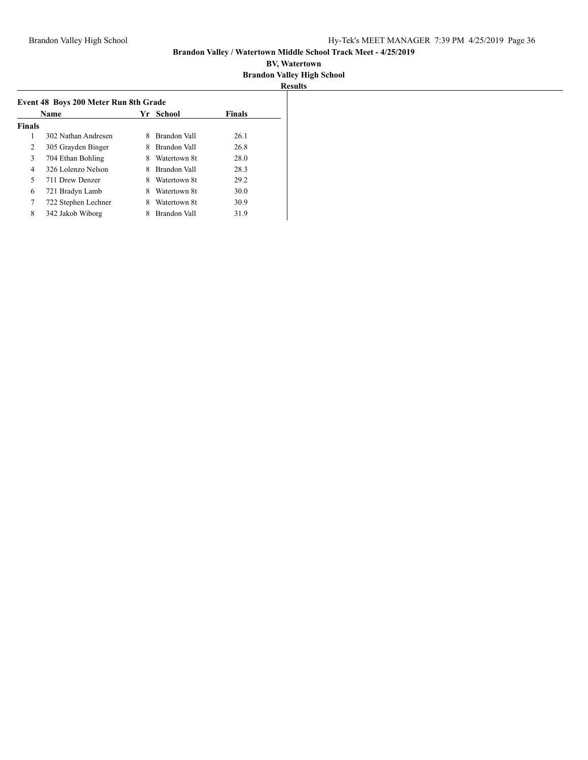| <b>Name</b>   |                     | Yr School |              | <b>Finals</b> |
|---------------|---------------------|-----------|--------------|---------------|
| <b>Finals</b> |                     |           |              |               |
| 1             | 302 Nathan Andresen | 8         | Brandon Vall | 26.1          |
| 2             | 305 Grayden Binger  | 8         | Brandon Vall | 26.8          |
| 3             | 704 Ethan Bohling   | 8         | Watertown 8t | 28.0          |
| 4             | 326 Lolenzo Nelson  | 8         | Brandon Vall | 28.3          |
| 5             | 711 Drew Denzer     | 8         | Watertown 8t | 29.2          |
| 6             | 721 Bradyn Lamb     | 8         | Watertown 8t | 30.0          |
| 7             | 722 Stephen Lechner | 8         | Watertown 8t | 30.9          |
| 8             | 342 Jakob Wiborg    |           | Brandon Vall | 31.9          |
|               |                     |           |              |               |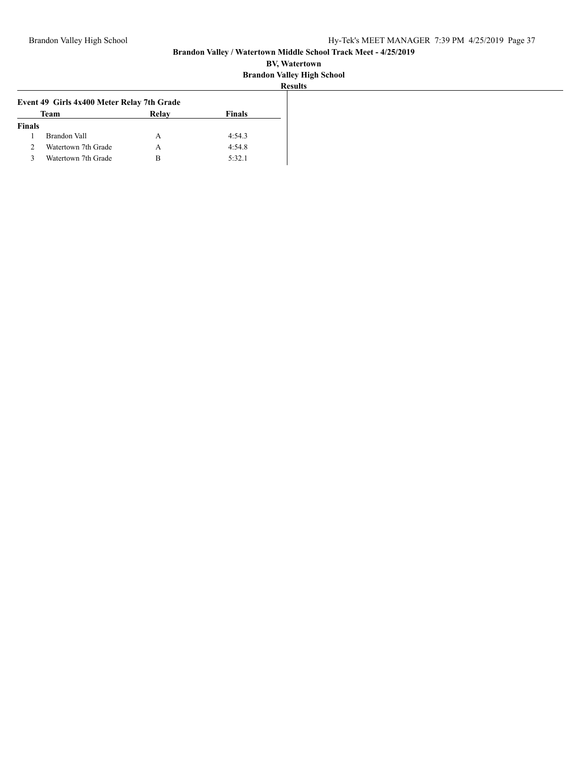| Event 49 Girls 4x400 Meter Relay 7th Grade |                     |       |        |  |  |
|--------------------------------------------|---------------------|-------|--------|--|--|
|                                            | Team                | Relay | Finals |  |  |
| <b>Finals</b>                              |                     |       |        |  |  |
|                                            | Brandon Vall        | A     | 4:54.3 |  |  |
| 2                                          | Watertown 7th Grade | A     | 4:54.8 |  |  |
| ς                                          | Watertown 7th Grade | в     | 5:32.1 |  |  |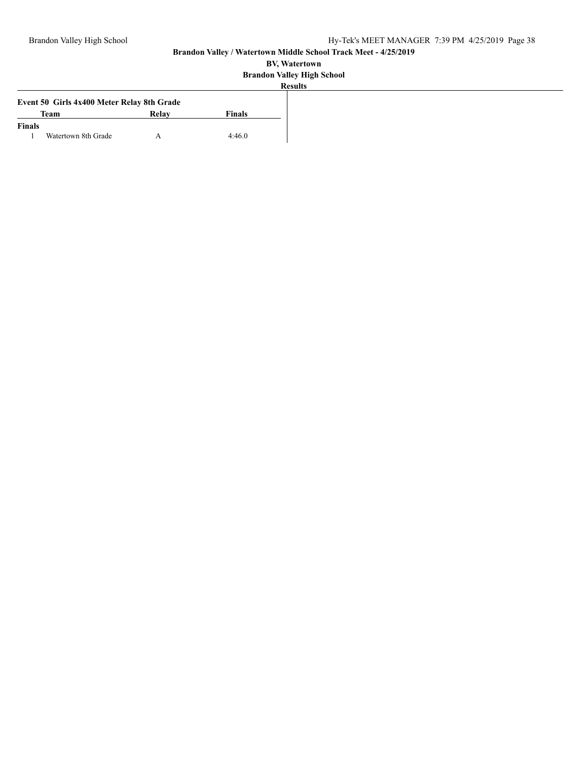|               | Event 50 Girls 4x400 Meter Relay 8th Grade |       |        |
|---------------|--------------------------------------------|-------|--------|
|               | <b>Team</b>                                | Relay | Finals |
| <b>Finals</b> |                                            |       |        |
|               | Watertown 8th Grade                        |       | 4:46.0 |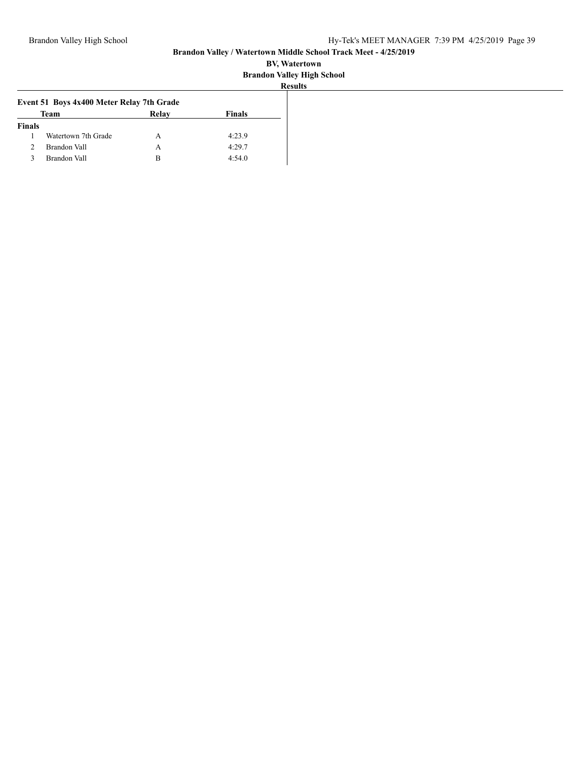| Event 51 Boys 4x400 Meter Relay 7th Grade |                     |       |               |
|-------------------------------------------|---------------------|-------|---------------|
|                                           | Team                | Relay | <b>Finals</b> |
| <b>Finals</b>                             |                     |       |               |
|                                           | Watertown 7th Grade | А     | 4:23.9        |
|                                           | Brandon Vall        | А     | 4:29.7        |
|                                           | Brandon Vall        | R     | 4:54.0        |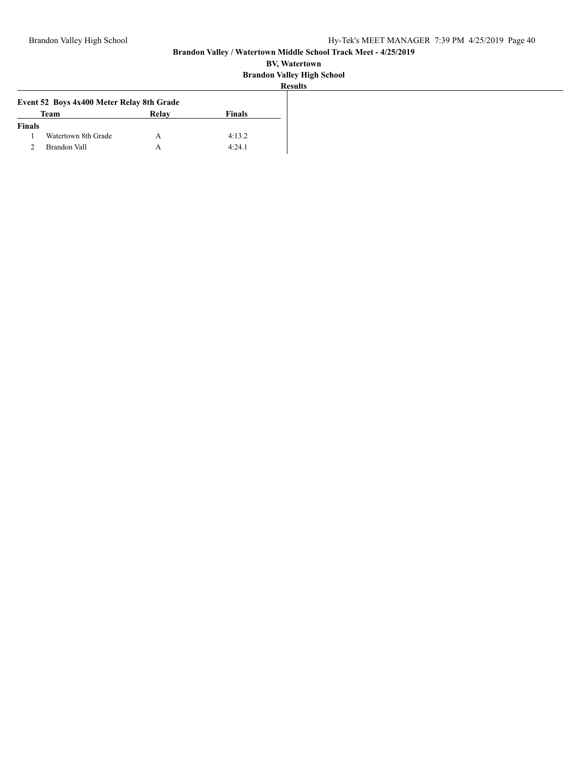|               | Event 52 Boys 4x400 Meter Relay 8th Grade |       |               |
|---------------|-------------------------------------------|-------|---------------|
|               | <b>Team</b>                               | Relay | <b>Finals</b> |
| <b>Finals</b> |                                           |       |               |
|               | Watertown 8th Grade                       |       | 4:13.2        |
|               | Brandon Vall                              |       | 4:24.1        |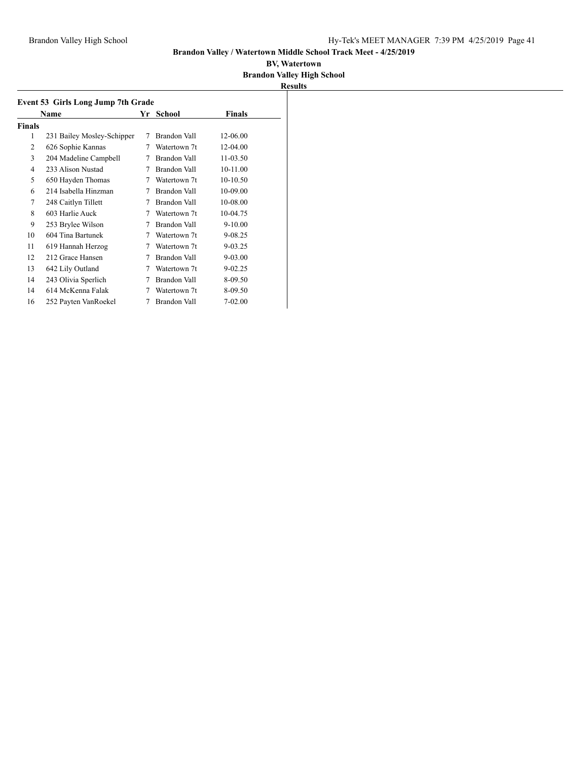|        | Name                       | Yr | School       | <b>Finals</b> |  |
|--------|----------------------------|----|--------------|---------------|--|
| Finals |                            |    |              |               |  |
| 1      | 231 Bailey Mosley-Schipper | 7  | Brandon Vall | 12-06.00      |  |
| 2      | 626 Sophie Kannas          | 7  | Watertown 7t | 12-04.00      |  |
| 3      | 204 Madeline Campbell      | 7  | Brandon Vall | 11-03.50      |  |
| 4      | 233 Alison Nustad          | 7  | Brandon Vall | 10-11.00      |  |
| 5      | 650 Hayden Thomas          | 7  | Watertown 7t | 10-10.50      |  |
| 6      | 214 Isabella Hinzman       | 7  | Brandon Vall | 10-09.00      |  |
| 7      | 248 Caitlyn Tillett        | 7  | Brandon Vall | 10-08.00      |  |
| 8      | 603 Harlie Auck            | 7  | Watertown 7t | 10-04.75      |  |
| 9      | 253 Brylee Wilson          | 7  | Brandon Vall | $9 - 10.00$   |  |
| 10     | 604 Tina Bartunek          | 7  | Watertown 7t | 9-08.25       |  |
| 11     | 619 Hannah Herzog          | 7  | Watertown 7t | 9-03.25       |  |
| 12     | 212 Grace Hansen           | 7  | Brandon Vall | $9 - 03.00$   |  |
| 13     | 642 Lily Outland           | 7  | Watertown 7t | $9 - 02.25$   |  |
| 14     | 243 Olivia Sperlich        | 7  | Brandon Vall | 8-09.50       |  |
| 14     | 614 McKenna Falak          | 7  | Watertown 7t | 8-09.50       |  |
| 16     | 252 Payten VanRoekel       | 7  | Brandon Vall | 7-02.00       |  |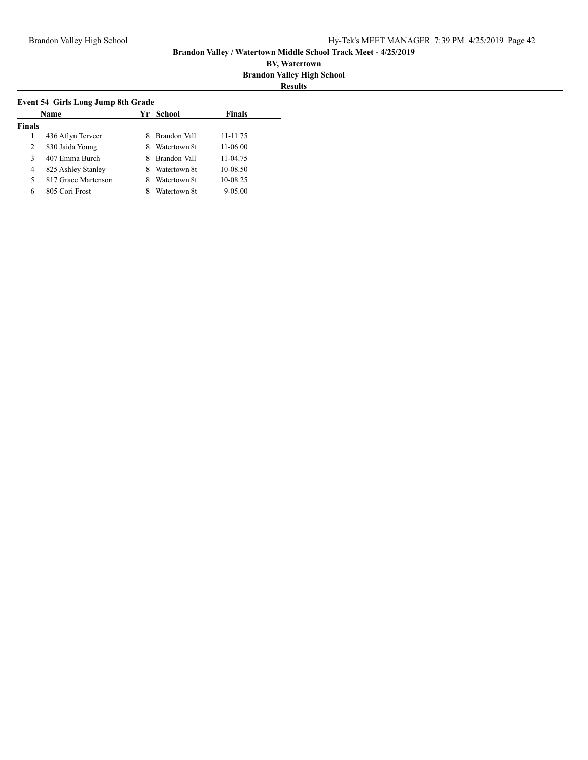|               | Name                |   | Yr School    | <b>Finals</b> |
|---------------|---------------------|---|--------------|---------------|
| <b>Finals</b> |                     |   |              |               |
|               | 436 Aftyn Terveer   | 8 | Brandon Vall | 11-11.75      |
| 2             | 830 Jaida Young     |   | Watertown 8t | 11-06.00      |
| 3             | 407 Emma Burch      | х | Brandon Vall | 11-04.75      |
| 4             | 825 Ashley Stanley  | 8 | Watertown 8t | 10-08.50      |
| 5             | 817 Grace Martenson |   | Watertown 8t | 10-08.25      |
| 6             | 805 Cori Frost      |   | Watertown 8t | $9 - 05.00$   |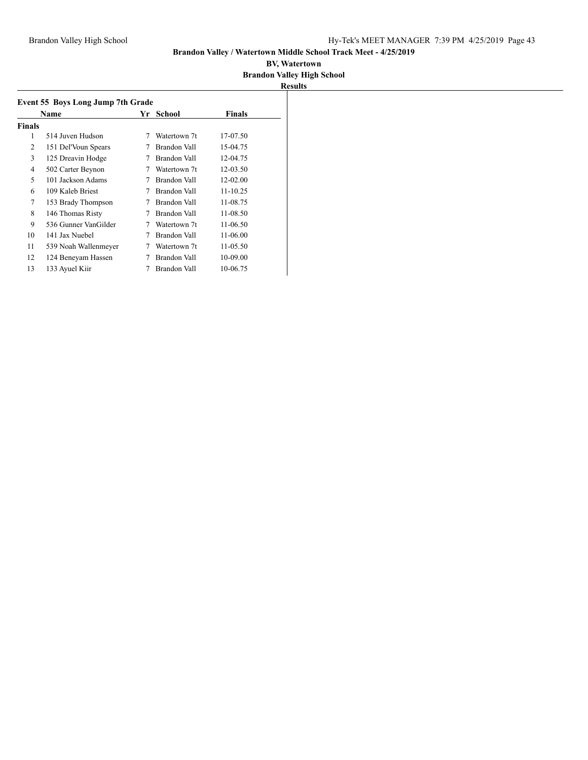|               | Event 55 Boys Long Jump 7th Grade |   |              |               |  |
|---------------|-----------------------------------|---|--------------|---------------|--|
|               | Name                              |   | Yr School    | <b>Finals</b> |  |
| <b>Finals</b> |                                   |   |              |               |  |
| 1             | 514 Juven Hudson                  | 7 | Watertown 7t | 17-07.50      |  |
| 2             | 151 Del'Voun Spears               | 7 | Brandon Vall | 15-04.75      |  |
| 3             | 125 Dreavin Hodge                 | 7 | Brandon Vall | 12-04.75      |  |
| 4             | 502 Carter Beynon                 | 7 | Watertown 7t | 12-03.50      |  |
| 5             | 101 Jackson Adams                 | 7 | Brandon Vall | 12-02.00      |  |
| 6             | 109 Kaleb Briest                  | 7 | Brandon Vall | $11 - 10.25$  |  |
| 7             | 153 Brady Thompson                | 7 | Brandon Vall | 11-08.75      |  |
| 8             | 146 Thomas Risty                  | 7 | Brandon Vall | 11-08.50      |  |
| 9             | 536 Gunner VanGilder              | 7 | Watertown 7t | 11-06.50      |  |
| 10            | 141 Jax Nuebel                    | 7 | Brandon Vall | 11-06.00      |  |
| 11            | 539 Noah Wallenmeyer              |   | Watertown 7t | 11-05.50      |  |
| 12            | 124 Beneyam Hassen                |   | Brandon Vall | 10-09.00      |  |
| 13            | 133 Ayuel Kiir                    |   | Brandon Vall | 10-06.75      |  |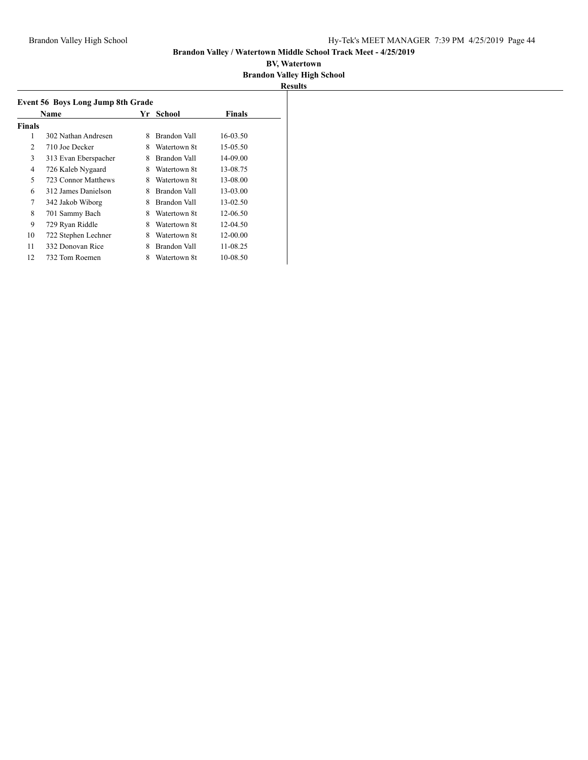|        | <b>Event 56 Boys Long Jump 8th Grade</b> |     |              |               |  |  |
|--------|------------------------------------------|-----|--------------|---------------|--|--|
|        | <b>Name</b>                              | Yr. | School       | <b>Finals</b> |  |  |
| Finals |                                          |     |              |               |  |  |
| 1      | 302 Nathan Andresen                      | 8   | Brandon Vall | 16-03.50      |  |  |
| 2      | 710 Joe Decker                           | 8   | Watertown 8t | 15-05.50      |  |  |
| 3      | 313 Evan Eberspacher                     | 8   | Brandon Vall | 14-09.00      |  |  |
| 4      | 726 Kaleb Nygaard                        | 8   | Watertown 8t | 13-08.75      |  |  |
| 5      | 723 Connor Matthews                      | 8   | Watertown 8t | 13-08.00      |  |  |
| 6      | 312 James Danielson                      | 8   | Brandon Vall | 13-03.00      |  |  |
| 7      | 342 Jakob Wiborg                         | 8   | Brandon Vall | 13-02.50      |  |  |
| 8      | 701 Sammy Bach                           | 8   | Watertown 8t | 12-06.50      |  |  |
| 9      | 729 Ryan Riddle                          | 8   | Watertown 8t | 12-04.50      |  |  |
| 10     | 722 Stephen Lechner                      | 8   | Watertown 8t | 12-00.00      |  |  |
| 11     | 332 Donovan Rice                         | 8   | Brandon Vall | 11-08.25      |  |  |
| 12     | 732 Tom Roemen                           | 8   | Watertown 8t | 10-08.50      |  |  |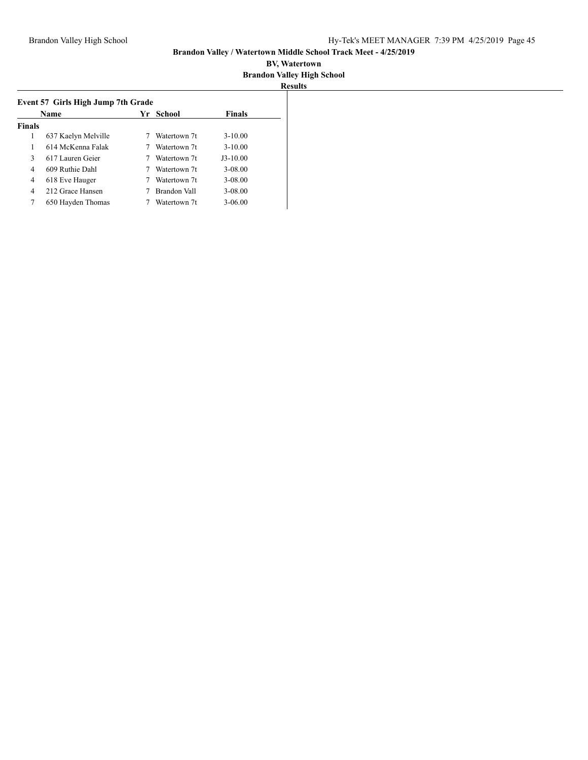|               | Name                |  | Yr           |             | School | <b>Finals</b> |
|---------------|---------------------|--|--------------|-------------|--------|---------------|
| <b>Finals</b> |                     |  |              |             |        |               |
| 1             | 637 Kaelyn Melville |  | Watertown 7t | $3 - 10.00$ |        |               |
| 1             | 614 McKenna Falak   |  | Watertown 7t | $3 - 10.00$ |        |               |
| 3             | 617 Lauren Geier    |  | Watertown 7t | $J3-10.00$  |        |               |
| 4             | 609 Ruthie Dahl     |  | Watertown 7t | 3-08.00     |        |               |
| 4             | 618 Eve Hauger      |  | Watertown 7t | 3-08.00     |        |               |
| 4             | 212 Grace Hansen    |  | Brandon Vall | $3 - 08.00$ |        |               |
| 7             | 650 Hayden Thomas   |  | Watertown 7t | $3 - 06.00$ |        |               |
|               |                     |  |              |             |        |               |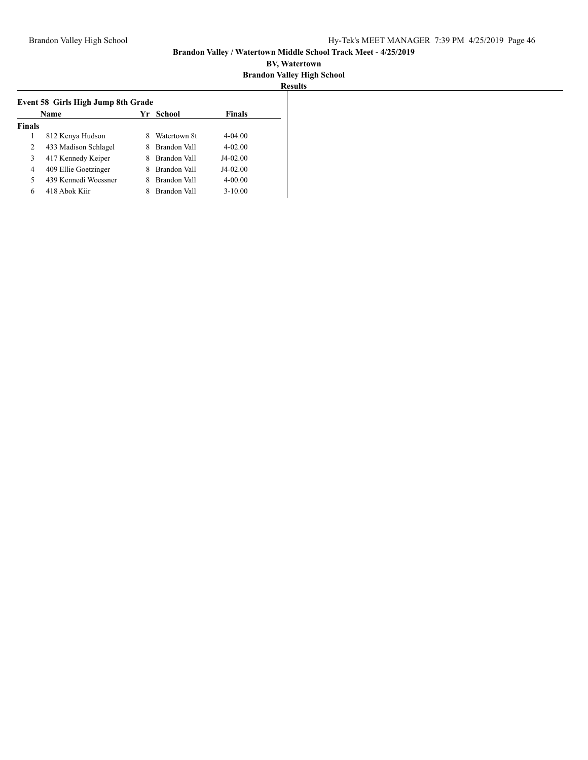| Name           |                      |   | Yr School    | <b>Finals</b> |
|----------------|----------------------|---|--------------|---------------|
| <b>Finals</b>  |                      |   |              |               |
|                | 812 Kenya Hudson     |   | Watertown 8t | $4 - 04.00$   |
| $\overline{c}$ | 433 Madison Schlagel |   | Brandon Vall | $4 - 02.00$   |
| 3              | 417 Kennedy Keiper   |   | Brandon Vall | $J4-02.00$    |
| 4              | 409 Ellie Goetzinger | 8 | Brandon Vall | $J4-02.00$    |
| 5              | 439 Kennedi Woessner | 8 | Brandon Vall | $4 - 00.00$   |
| 6              | 418 Abok Kiir        |   | Brandon Vall | $3 - 10.00$   |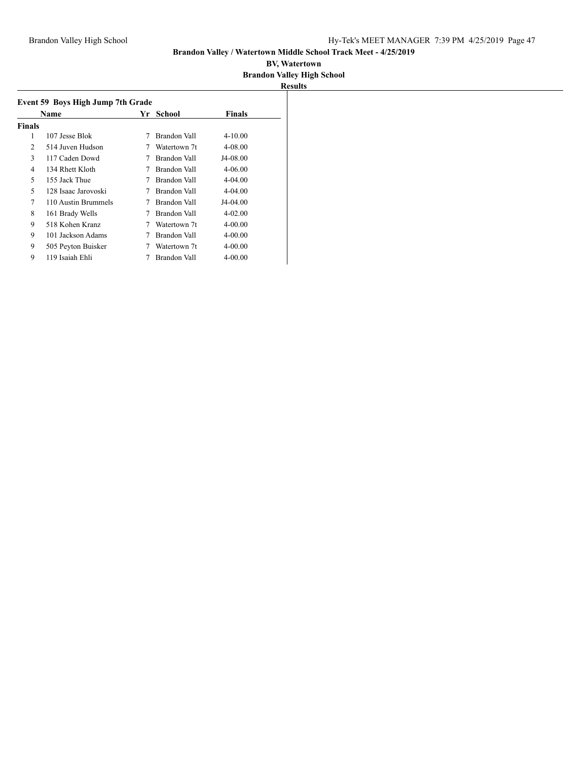| Name   |                     | Yr | School       | <b>Finals</b> |
|--------|---------------------|----|--------------|---------------|
| Finals |                     |    |              |               |
| 1      | 107 Jesse Blok      | 7  | Brandon Vall | $4 - 10.00$   |
| 2      | 514 Juven Hudson    |    | Watertown 7t | 4-08.00       |
| 3      | 117 Caden Dowd      |    | Brandon Vall | J4-08.00      |
| 4      | 134 Rhett Kloth     |    | Brandon Vall | 4-06.00       |
| 5      | 155 Jack Thue       |    | Brandon Vall | $4 - 04.00$   |
| 5      | 128 Isaac Jarovoski |    | Brandon Vall | $4 - 04.00$   |
| 7      | 110 Austin Brummels |    | Brandon Vall | J4-04.00      |
| 8      | 161 Brady Wells     |    | Brandon Vall | 4-02.00       |
| 9      | 518 Kohen Kranz     |    | Watertown 7t | 4-00.00       |
| 9      | 101 Jackson Adams   |    | Brandon Vall | 4-00.00       |
| 9      | 505 Peyton Buisker  |    | Watertown 7t | 4-00.00       |
| 9      | 119 Isaiah Ehli     |    | Brandon Vall | 4-00.00       |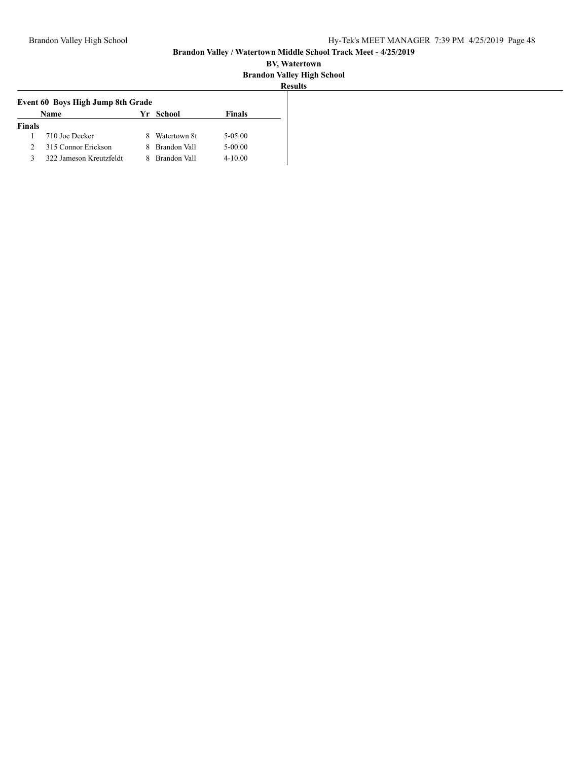| Event 60 Boys High Jump 8th Grade |                         |   |                     |             |  |
|-----------------------------------|-------------------------|---|---------------------|-------------|--|
| Name<br>Finals<br>Yr School       |                         |   |                     |             |  |
| <b>Finals</b>                     |                         |   |                     |             |  |
|                                   | 710 Joe Decker          |   | Watertown 8t        | 5-05.00     |  |
| $\mathcal{L}$                     | 315 Connor Erickson     | 8 | Brandon Vall        | 5-00.00     |  |
| κ                                 | 322 Jameson Kreutzfeldt |   | <b>Brandon Vall</b> | $4 - 10.00$ |  |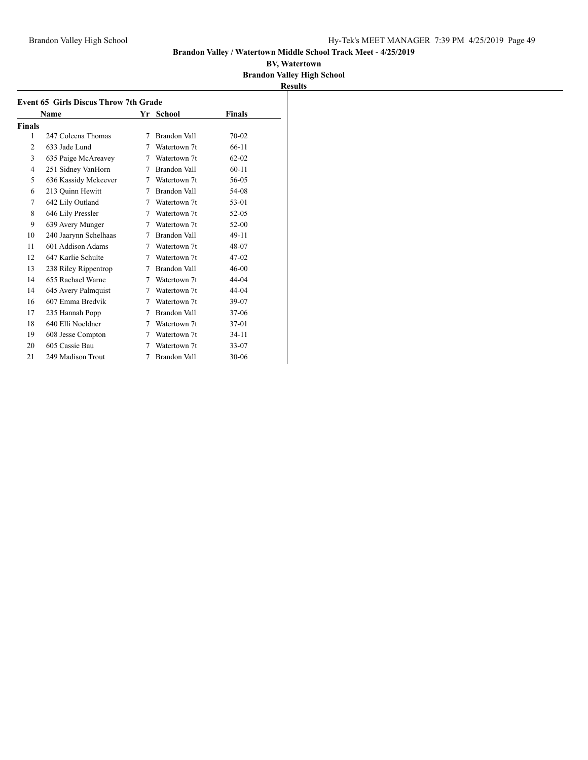|                | <b>Event 65 Girls Discus Throw 7th Grade</b> |    |                     |               |  |
|----------------|----------------------------------------------|----|---------------------|---------------|--|
|                | Name                                         | Yr | School              | <b>Finals</b> |  |
| Finals         |                                              |    |                     |               |  |
| 1              | 247 Coleena Thomas                           | 7  | Brandon Vall        | 70-02         |  |
| $\overline{2}$ | 633 Jade Lund                                | 7  | Watertown 7t        | $66-11$       |  |
| 3              | 635 Paige McAreavey                          | 7  | Watertown 7t        | $62 - 02$     |  |
| $\overline{4}$ | 251 Sidney VanHorn                           | 7  | Brandon Vall        | $60 - 11$     |  |
| 5              | 636 Kassidy Mckeever                         | 7  | Watertown 7t        | 56-05         |  |
| 6              | 213 Quinn Hewitt                             | 7  | Brandon Vall        | 54-08         |  |
| 7              | 642 Lily Outland                             | 7  | Watertown 7t        | $53-01$       |  |
| 8              | 646 Lily Pressler                            | 7  | Watertown 7t        | 52-05         |  |
| 9              | 639 Avery Munger                             | 7  | Watertown 7t        | $52-00$       |  |
| 10             | 240 Jaarynn Schelhaas                        | 7  | <b>Brandon Vall</b> | 49-11         |  |
| 11             | 601 Addison Adams                            | 7  | Watertown 7t        | 48-07         |  |
| 12             | 647 Karlie Schulte                           | 7  | Watertown 7t        | $47-02$       |  |
| 13             | 238 Riley Rippentrop                         | 7  | Brandon Vall        | 46-00         |  |
| 14             | 655 Rachael Warne                            | 7  | Watertown 7t        | 44-04         |  |
| 14             | 645 Avery Palmquist                          | 7  | Watertown 7t        | 44-04         |  |
| 16             | 607 Emma Bredvik                             | 7  | Watertown 7t        | 39-07         |  |
| 17             | 235 Hannah Popp                              | 7  | Brandon Vall        | $37-06$       |  |
| 18             | 640 Elli Noeldner                            | 7  | Watertown 7t        | 37-01         |  |
| 19             | 608 Jesse Compton                            | 7  | Watertown 7t        | $34-11$       |  |
| 20             | 605 Cassie Bau                               | 7  | Watertown 7t        | $33 - 07$     |  |
| 21             | 249 Madison Trout                            | 7  | Brandon Vall        | $30 - 06$     |  |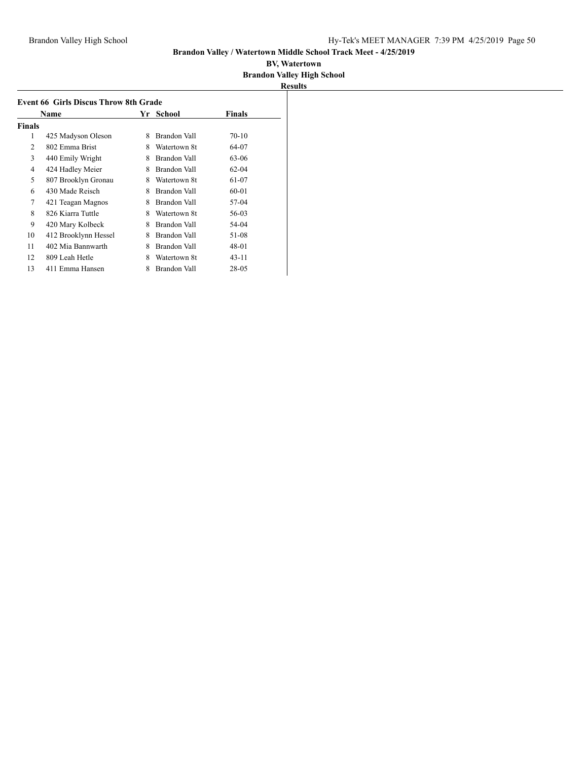|        | Name                 | Yr | School       | Finals    |
|--------|----------------------|----|--------------|-----------|
| Finals |                      |    |              |           |
| 1      | 425 Madyson Oleson   | 8  | Brandon Vall | $70-10$   |
| 2      | 802 Emma Brist       | 8  | Watertown 8t | 64-07     |
| 3      | 440 Emily Wright     | 8  | Brandon Vall | 63-06     |
| 4      | 424 Hadley Meier     | 8  | Brandon Vall | $62-04$   |
| 5      | 807 Brooklyn Gronau  | 8  | Watertown 8t | 61-07     |
| 6      | 430 Made Reisch      | 8  | Brandon Vall | 60-01     |
| 7      | 421 Teagan Magnos    | 8  | Brandon Vall | 57-04     |
| 8      | 826 Kiarra Tuttle    | 8  | Watertown 8t | 56-03     |
| 9      | 420 Mary Kolbeck     | 8  | Brandon Vall | 54-04     |
| 10     | 412 Brooklynn Hessel | 8  | Brandon Vall | 51-08     |
| 11     | 402 Mia Bannwarth    | 8  | Brandon Vall | 48-01     |
| 12     | 809 Leah Hetle       | 8  | Watertown 8t | $43 - 11$ |
| 13     | 411 Emma Hansen      | 8  | Brandon Vall | 28-05     |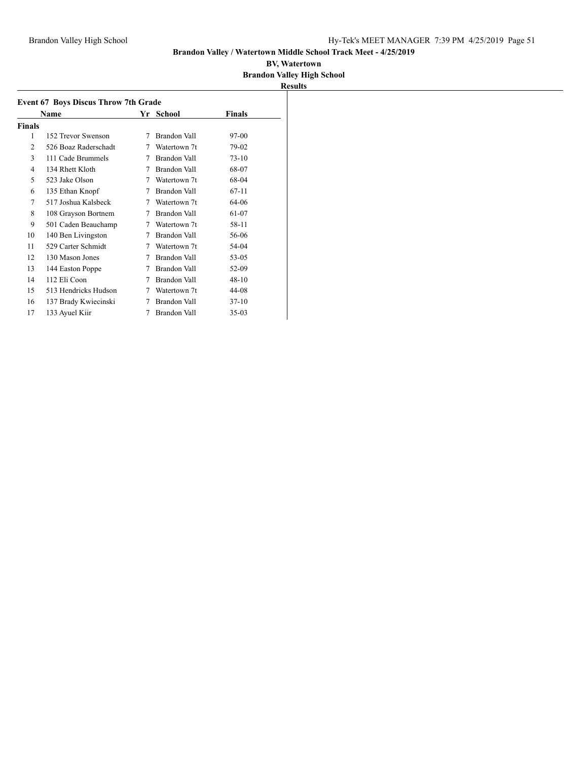| <b>Event 67 Boys Discus Throw 7th Grade</b> |                      |   |                     |               |
|---------------------------------------------|----------------------|---|---------------------|---------------|
|                                             | Name                 |   | Yr School           | <b>Finals</b> |
| Finals                                      |                      |   |                     |               |
| 1                                           | 152 Trevor Swenson   | 7 | Brandon Vall        | 97-00         |
| 2                                           | 526 Boaz Raderschadt | 7 | Watertown 7t        | 79-02         |
| 3                                           | 111 Cade Brummels    | 7 | <b>Brandon Vall</b> | $73-10$       |
| 4                                           | 134 Rhett Kloth      | 7 | Brandon Vall        | 68-07         |
| 5                                           | 523 Jake Olson       | 7 | Watertown 7t        | 68-04         |
| 6                                           | 135 Ethan Knopf      | 7 | Brandon Vall        | $67 - 11$     |
| 7                                           | 517 Joshua Kalsbeck  | 7 | Watertown 7t        | 64-06         |
| 8                                           | 108 Grayson Bortnem  | 7 | Brandon Vall        | 61-07         |
| 9                                           | 501 Caden Beauchamp  | 7 | Watertown 7t        | 58-11         |
| 10                                          | 140 Ben Livingston   | 7 | Brandon Vall        | 56-06         |
| 11                                          | 529 Carter Schmidt   | 7 | Watertown 7t        | 54-04         |
| 12                                          | 130 Mason Jones      | 7 | Brandon Vall        | 53-05         |
| 13                                          | 144 Easton Poppe     | 7 | Brandon Vall        | 52-09         |
| 14                                          | 112 Eli Coon         | 7 | Brandon Vall        | $48-10$       |
| 15                                          | 513 Hendricks Hudson | 7 | Watertown 7t        | 44-08         |
| 16                                          | 137 Brady Kwiecinski | 7 | Brandon Vall        | $37-10$       |
| 17                                          | 133 Ayuel Kiir       | 7 | Brandon Vall        | $35-03$       |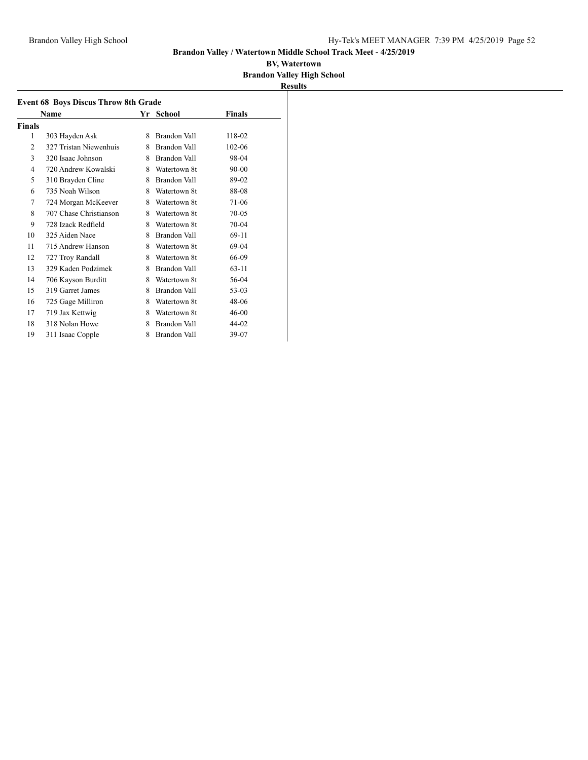|                | Name                   |   | Yr School           | Finals    |
|----------------|------------------------|---|---------------------|-----------|
| Finals         |                        |   |                     |           |
| 1              | 303 Hayden Ask         | 8 | Brandon Vall        | 118-02    |
| $\overline{c}$ | 327 Tristan Niewenhuis | 8 | Brandon Vall        | 102-06    |
| 3              | 320 Isaac Johnson      | 8 | Brandon Vall        | 98-04     |
| 4              | 720 Andrew Kowalski    | 8 | Watertown 8t        | $90 - 00$ |
| 5              | 310 Brayden Cline      | 8 | Brandon Vall        | 89-02     |
| 6              | 735 Noah Wilson        | 8 | Watertown 8t        | 88-08     |
| 7              | 724 Morgan McKeever    | 8 | Watertown 8t        | 71-06     |
| 8              | 707 Chase Christianson | 8 | Watertown 8t        | 70-05     |
| 9              | 728 Izack Redfield     | 8 | Watertown 8t        | 70-04     |
| 10             | 325 Aiden Nace         | 8 | <b>Brandon Vall</b> | 69-11     |
| 11             | 715 Andrew Hanson      | 8 | Watertown 8t        | 69-04     |
| 12             | 727 Troy Randall       | 8 | Watertown 8t        | 66-09     |
| 13             | 329 Kaden Podzimek     | 8 | Brandon Vall        | $63 - 11$ |
| 14             | 706 Kayson Burditt     | 8 | Watertown 8t        | 56-04     |
| 15             | 319 Garret James       | 8 | Brandon Vall        | 53-03     |
| 16             | 725 Gage Milliron      | 8 | Watertown 8t        | 48-06     |
| 17             | 719 Jax Kettwig        | 8 | Watertown 8t        | 46-00     |
| 18             | 318 Nolan Howe         | 8 | <b>Brandon Vall</b> | 44-02     |
| 19             | 311 Isaac Copple       | 8 | Brandon Vall        | 39-07     |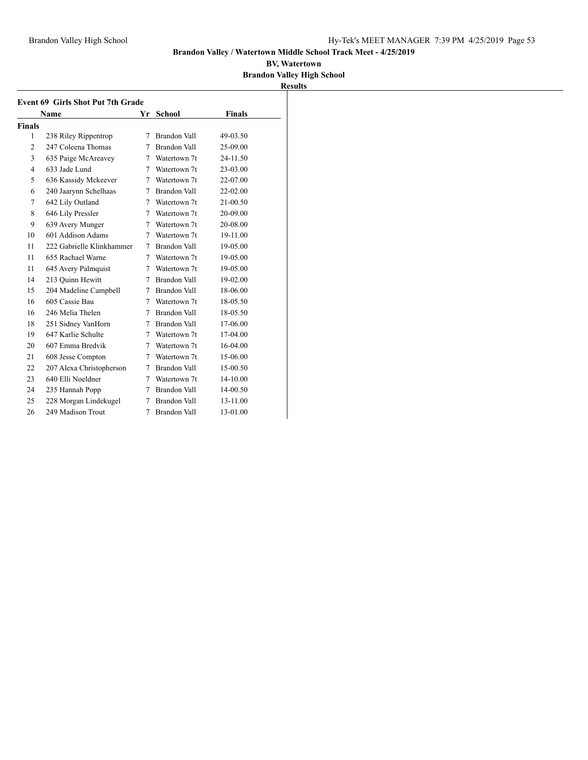**Event 69 Girls Shot Put 7th Grade**

**Name Finally <b>Finally Finally Finally Finally Finally Finally Finally Finally Finally Finally Finally Finally Finally Finally Finally Finally Finally Finally Finally Finally Final** 

### **Brandon Valley / Watertown Middle School Track Meet - 4/25/2019**

|               | <b>Results</b> |
|---------------|----------------|
|               |                |
| <b>Finals</b> |                |
|               |                |

| <b>Finals</b>  |                           |   |              |          |
|----------------|---------------------------|---|--------------|----------|
| 1              | 238 Riley Rippentrop      | 7 | Brandon Vall | 49-03.50 |
| $\overline{2}$ | 247 Coleena Thomas        | 7 | Brandon Vall | 25-09.00 |
| 3              | 635 Paige McAreavey       | 7 | Watertown 7t | 24-11.50 |
| 4              | 633 Jade Lund             | 7 | Watertown 7t | 23-03.00 |
| 5              | 636 Kassidy Mckeever      | 7 | Watertown 7t | 22-07.00 |
| 6              | 240 Jaarynn Schelhaas     | 7 | Brandon Vall | 22-02.00 |
| 7              | 642 Lily Outland          | 7 | Watertown 7t | 21-00.50 |
| 8              | 646 Lily Pressler         | 7 | Watertown 7t | 20-09.00 |
| 9              | 639 Avery Munger          | 7 | Watertown 7t | 20-08.00 |
| 10             | 601 Addison Adams         | 7 | Watertown 7t | 19-11.00 |
| 11             | 222 Gabrielle Klinkhammer | 7 | Brandon Vall | 19-05.00 |
| 11             | 655 Rachael Warne         | 7 | Watertown 7t | 19-05.00 |
| 11             | 645 Avery Palmquist       | 7 | Watertown 7t | 19-05.00 |
| 14             | 213 Quinn Hewitt          | 7 | Brandon Vall | 19-02.00 |
| 15             | 204 Madeline Campbell     | 7 | Brandon Vall | 18-06.00 |
| 16             | 605 Cassie Bau            | 7 | Watertown 7t | 18-05.50 |
| 16             | 246 Melia Thelen          | 7 | Brandon Vall | 18-05.50 |
| 18             | 251 Sidney VanHorn        | 7 | Brandon Vall | 17-06.00 |
| 19             | 647 Karlie Schulte        | 7 | Watertown 7t | 17-04.00 |
| 20             | 607 Emma Bredvik          | 7 | Watertown 7t | 16-04.00 |
| 21             | 608 Jesse Compton         | 7 | Watertown 7t | 15-06.00 |
| 22             | 207 Alexa Christopherson  | 7 | Brandon Vall | 15-00.50 |
| 23             | 640 Elli Noeldner         | 7 | Watertown 7t | 14-10.00 |
| 24             | 235 Hannah Popp           | 7 | Brandon Vall | 14-00.50 |
| 25             | 228 Morgan Lindekugel     | 7 | Brandon Vall | 13-11.00 |
| 26             | 249 Madison Trout         | 7 | Brandon Vall | 13-01.00 |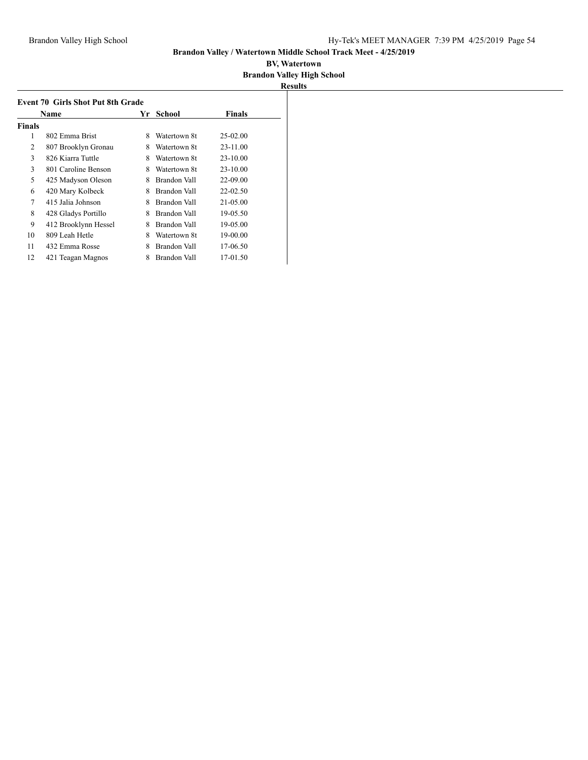| <b>Event 70 Girls Shot Put 8th Grade</b> |                      |    |                     |              |  |
|------------------------------------------|----------------------|----|---------------------|--------------|--|
|                                          | Name                 | Yr | School              | Finals       |  |
| <b>Finals</b>                            |                      |    |                     |              |  |
| 1                                        | 802 Emma Brist       | 8  | Watertown 8t        | $25 - 02.00$ |  |
| 2                                        | 807 Brooklyn Gronau  | 8  | Watertown 8t        | 23-11.00     |  |
| 3                                        | 826 Kiarra Tuttle    | 8  | Watertown 8t        | 23-10.00     |  |
| 3                                        | 801 Caroline Benson  | 8  | Watertown 8t        | 23-10.00     |  |
| 5                                        | 425 Madyson Oleson   | 8  | Brandon Vall        | 22-09.00     |  |
| 6                                        | 420 Mary Kolbeck     | 8  | Brandon Vall        | $22 - 02.50$ |  |
| 7                                        | 415 Jalia Johnson    | 8  | Brandon Vall        | 21-05.00     |  |
| 8                                        | 428 Gladys Portillo  | 8  | Brandon Vall        | 19-05.50     |  |
| 9                                        | 412 Brooklynn Hessel | 8  | Brandon Vall        | 19-05.00     |  |
| 10                                       | 809 Leah Hetle       | 8  | Watertown 8t        | 19-00.00     |  |
| 11                                       | 432 Emma Rosse       | 8  | <b>Brandon Vall</b> | 17-06.50     |  |
| 12                                       | 421 Teagan Magnos    | 8  | Brandon Vall        | 17-01.50     |  |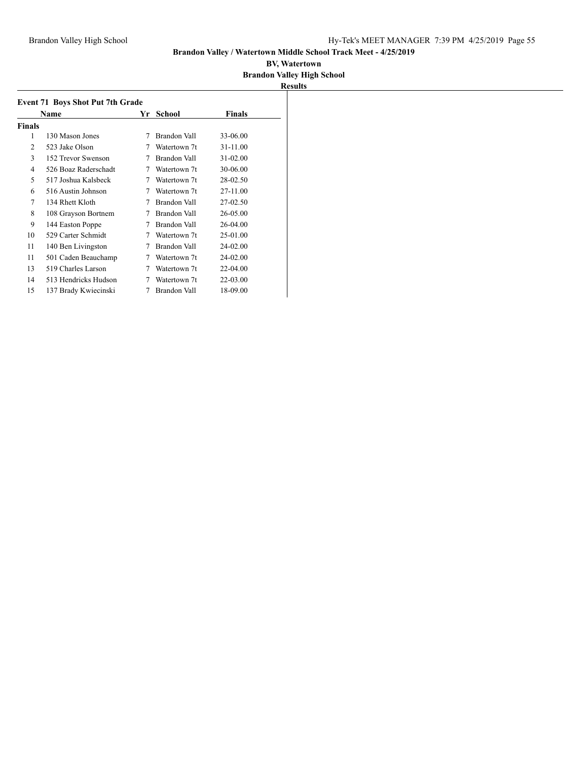|        | <b>Event 71 Boys Shot Put 7th Grade</b><br>Name | Yr | School              | Finals       |
|--------|-------------------------------------------------|----|---------------------|--------------|
| Finals |                                                 |    |                     |              |
| 1      | 130 Mason Jones                                 | 7  | Brandon Vall        | 33-06.00     |
| 2      | 523 Jake Olson                                  | 7  | Watertown 7t        | 31-11.00     |
| 3      | 152 Trevor Swenson                              | 7  | Brandon Vall        | $31 - 02.00$ |
| 4      | 526 Boaz Raderschadt                            | 7  | Watertown 7t        | 30-06.00     |
| 5      | 517 Joshua Kalsbeck                             | 7  | Watertown 7t        | 28-02.50     |
| 6      | 516 Austin Johnson                              | 7  | Watertown 7t        | 27-11.00     |
| 7      | 134 Rhett Kloth                                 |    | Brandon Vall        | 27-02.50     |
| 8      | 108 Grayson Bortnem                             |    | Brandon Vall        | 26-05.00     |
| 9      | 144 Easton Poppe                                |    | Brandon Vall        | $26 - 04.00$ |
| 10     | 529 Carter Schmidt                              |    | Watertown 7t        | 25-01.00     |
| 11     | 140 Ben Livingston                              |    | <b>Brandon Vall</b> | 24-02.00     |
| 11     | 501 Caden Beauchamp                             |    | Watertown 7t        | 24-02.00     |
| 13     | 519 Charles Larson                              | 7  | Watertown 7t        | 22-04.00     |
| 14     | 513 Hendricks Hudson                            |    | Watertown 7t        | 22-03.00     |
| 15     | 137 Brady Kwiecinski                            | 7  | Brandon Vall        | 18-09.00     |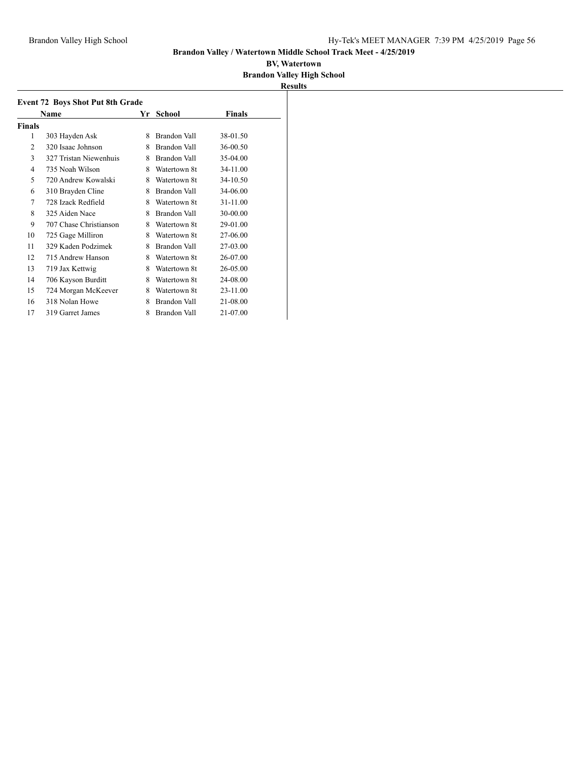|                | <b>Event 72 Boys Shot Put 8th Grade</b> |    |                     |          |  |
|----------------|-----------------------------------------|----|---------------------|----------|--|
|                | Name                                    | Yr | <b>School</b>       | Finals   |  |
| Finals         |                                         |    |                     |          |  |
| 1              | 303 Hayden Ask                          | 8  | Brandon Vall        | 38-01.50 |  |
| $\overline{2}$ | 320 Isaac Johnson                       | 8  | Brandon Vall        | 36-00.50 |  |
| 3              | 327 Tristan Niewenhuis                  | 8  | Brandon Vall        | 35-04.00 |  |
| 4              | 735 Noah Wilson                         | 8  | Watertown 8t        | 34-11.00 |  |
| 5              | 720 Andrew Kowalski                     | 8  | Watertown 8t        | 34-10.50 |  |
| 6              | 310 Brayden Cline                       | 8  | Brandon Vall        | 34-06.00 |  |
| 7              | 728 Izack Redfield                      | 8  | Watertown 8t        | 31-11.00 |  |
| 8              | 325 Aiden Nace                          | 8  | Brandon Vall        | 30-00.00 |  |
| 9              | 707 Chase Christianson                  | 8  | Watertown 8t        | 29-01.00 |  |
| 10             | 725 Gage Milliron                       | 8  | Watertown 8t        | 27-06.00 |  |
| 11             | 329 Kaden Podzimek                      | 8  | Brandon Vall        | 27-03.00 |  |
| 12             | 715 Andrew Hanson                       | 8  | Watertown 8t        | 26-07.00 |  |
| 13             | 719 Jax Kettwig                         | 8  | Watertown 8t        | 26-05.00 |  |
| 14             | 706 Kayson Burditt                      | 8  | Watertown 8t        | 24-08.00 |  |
| 15             | 724 Morgan McKeever                     | 8  | Watertown 8t        | 23-11.00 |  |
| 16             | 318 Nolan Howe                          | 8  | Brandon Vall        | 21-08.00 |  |
| 17             | 319 Garret James                        | 8  | <b>Brandon Vall</b> | 21-07.00 |  |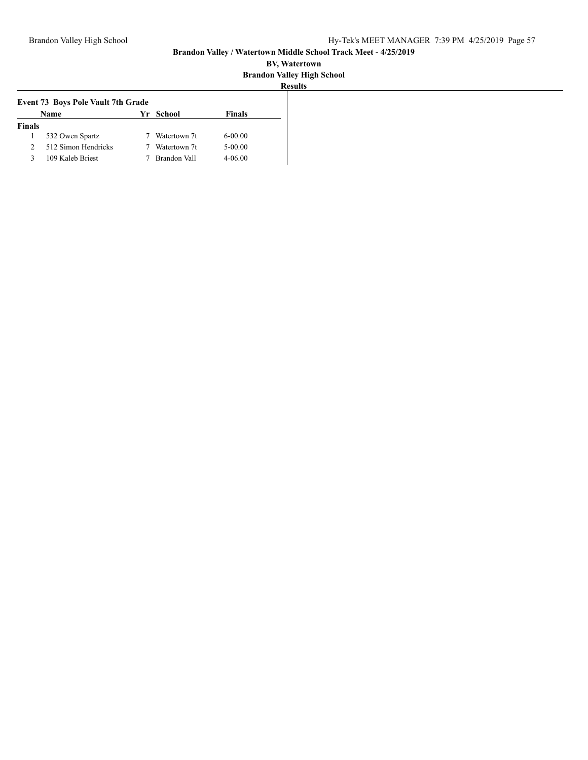| <b>Event 73 Boys Pole Vault 7th Grade</b> |                     |  |              |               |
|-------------------------------------------|---------------------|--|--------------|---------------|
|                                           | Name                |  | Yr School    | <b>Finals</b> |
| <b>Finals</b>                             |                     |  |              |               |
|                                           | 532 Owen Spartz     |  | Watertown 7t | $6 - 00.00$   |
| 2                                         | 512 Simon Hendricks |  | Watertown 7t | $5 - 00.00$   |
| ٩                                         | 109 Kaleb Briest    |  | Brandon Vall | $4 - 06.00$   |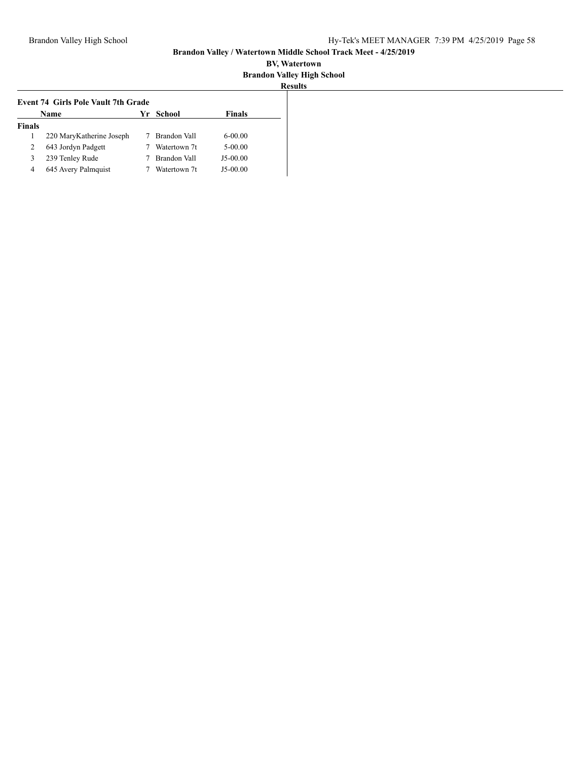|               | <b>Event 74 Girls Pole Vault 7th Grade</b> |  |              |               |  |  |
|---------------|--------------------------------------------|--|--------------|---------------|--|--|
|               | Name                                       |  | Yr School    | <b>Finals</b> |  |  |
| <b>Finals</b> |                                            |  |              |               |  |  |
|               | 220 MaryKatherine Joseph                   |  | Brandon Vall | $6 - 00.00$   |  |  |
| 2             | 643 Jordyn Padgett                         |  | Watertown 7t | $5 - 00.00$   |  |  |
| 3             | 239 Tenley Rude                            |  | Brandon Vall | $J5-00.00$    |  |  |
| 4             | 645 Avery Palmquist                        |  | Watertown 7t | $J5-00.00$    |  |  |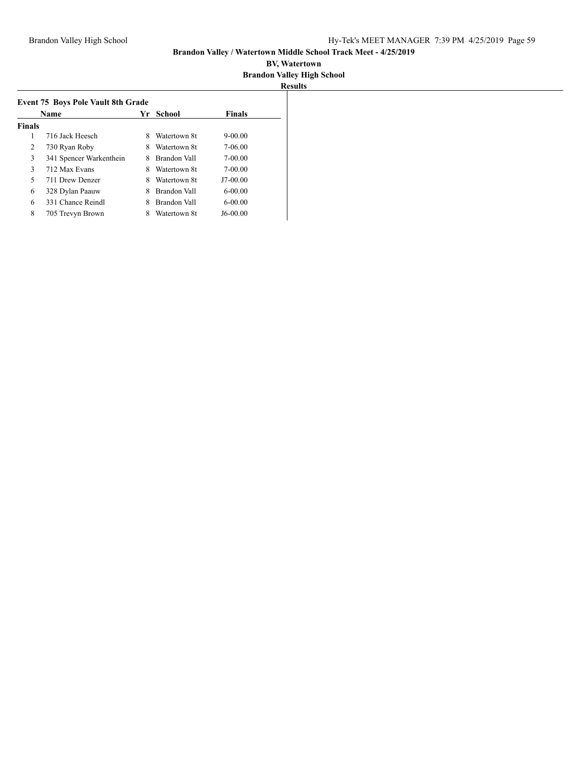|               | Name                    | Yr | School       | <b>Finals</b> |
|---------------|-------------------------|----|--------------|---------------|
| <b>Finals</b> |                         |    |              |               |
| 1             | 716 Jack Heesch         | 8  | Watertown 8t | $9 - 00.00$   |
| 2             | 730 Ryan Roby           | 8  | Watertown 8t | 7-06.00       |
| 3             | 341 Spencer Warkenthein | 8  | Brandon Vall | 7-00.00       |
| 3             | 712 Max Evans           | 8  | Watertown 8t | 7-00.00       |
| 5             | 711 Drew Denzer         | 8  | Watertown 8t | J7-00.00      |
| 6             | 328 Dylan Paauw         | 8  | Brandon Vall | $6 - 00.00$   |
| 6             | 331 Chance Reindl       |    | Brandon Vall | $6 - 00.00$   |
| 8             | 705 Trevyn Brown        | 8  | Watertown 8t | J6-00.00      |